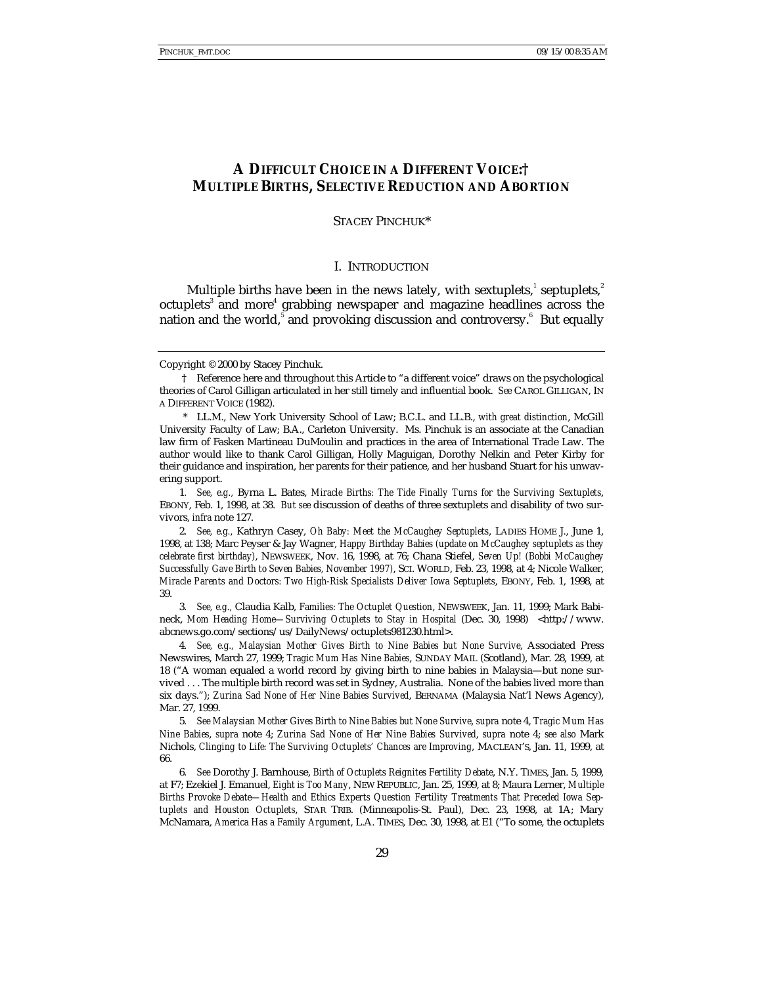# **A DIFFICULT CHOICE IN A DIFFERENT VOICE:† MULTIPLE BIRTHS, SELECTIVE REDUCTION AND ABORTION**

STACEY PINCHUK\*

#### I. INTRODUCTION

Multiple births have been in the news lately, with sextuplets, $^{\text{!}}$  septuplets, $^{\text{!}}$ octuplets<sup>3</sup> and more<sup>4</sup> grabbing newspaper and magazine headlines across the nation and the world, $^{\text{5}}$  and provoking discussion and controversy. $^{\text{6}}$  But equally

\* LL.M., New York University School of Law; B.C.L. and LL.B., *with great distinction*, McGill University Faculty of Law; B.A., Carleton University. Ms. Pinchuk is an associate at the Canadian law firm of Fasken Martineau DuMoulin and practices in the area of International Trade Law. The author would like to thank Carol Gilligan, Holly Maguigan, Dorothy Nelkin and Peter Kirby for their guidance and inspiration, her parents for their patience, and her husband Stuart for his unwavering support.

1*. See, e.g.,* Byrna L. Bates, *Miracle Births: The Tide Finally Turns for the Surviving Sextuplets*, EBONY, Feb. 1, 1998, at 38. *But see* discussion of deaths of three sextuplets and disability of two survivors, *infra* note 127.

2*. See, e.g.,* Kathryn Casey, *Oh Baby: Meet the McCaughey Septuplets*, LADIES HOME J., June 1, 1998, at 138; Marc Peyser & Jay Wagner, *Happy Birthday Babies (update on McCaughey septuplets as they celebrate first birthday)*, NEWSWEEK, Nov. 16, 1998, at 76; Chana Stiefel, *Seven Up! (Bobbi McCaughey Successfully Gave Birth to Seven Babies, November 1997)*, SCI. WORLD, Feb. 23, 1998, at 4; Nicole Walker, *Miracle Parents and Doctors: Two High-Risk Specialists Deliver Iowa Septuplets*, EBONY, Feb. 1, 1998, at 39.

3*. See, e.g.,* Claudia Kalb, *Families: The Octuplet Question*, NEWSWEEK, Jan. 11, 1999; Mark Babineck, *Mom Heading Home—Surviving Octuplets to Stay in Hospital* (Dec. 30, 1998) <http://www. abcnews.go.com/sections/us/DailyNews/octuplets981230.html>.

4*. See, e.g., Malaysian Mother Gives Birth to Nine Babies but None Survive*, Associated Press Newswires, March 27, 1999; *Tragic Mum Has Nine Babies*, SUNDAY MAIL (Scotland), Mar. 28, 1999, at 18 ("A woman equaled a world record by giving birth to nine babies in Malaysia—but none survived . . . The multiple birth record was set in Sydney, Australia. None of the babies lived more than six days."); *Zurina Sad None of Her Nine Babies Survived*, BERNAMA (Malaysia Nat'l News Agency), Mar. 27, 1999.

5*. See Malaysian Mother Gives Birth to Nine Babies but None Survive*, *supra* note 4, *Tragic Mum Has Nine Babies*, *supra* note 4; *Zurina Sad None of Her Nine Babies Survived*, *supra* note 4; *see also* Mark Nichols, *Clinging to Life: The Surviving Octuplets' Chances are Improving*, MACLEAN'S, Jan. 11, 1999, at 66.

6*. See* Dorothy J. Barnhouse, *Birth of Octuplets Reignites Fertility Debate*, N.Y. TIMES, Jan. 5, 1999, at F7; Ezekiel J. Emanuel, *Eight is Too Many*, NEW REPUBLIC, Jan. 25, 1999, at 8; Maura Lerner, *Multiple Births Provoke Debate—Health and Ethics Experts Question Fertility Treatments That Preceded Iowa Septuplets and Houston Octuplets*, STAR TRIB. (Minneapolis-St. Paul), Dec. 23, 1998, at 1A; Mary McNamara, *America Has a Family Argument*, L.A. TIMES, Dec. 30, 1998, at E1 ("To some, the octuplets

Copyright © 2000 by Stacey Pinchuk.

<sup>†</sup> Reference here and throughout this Article to "a different voice" draws on the psychological theories of Carol Gilligan articulated in her still timely and influential book. *See* CAROL GILLIGAN, IN A DIFFERENT VOICE (1982).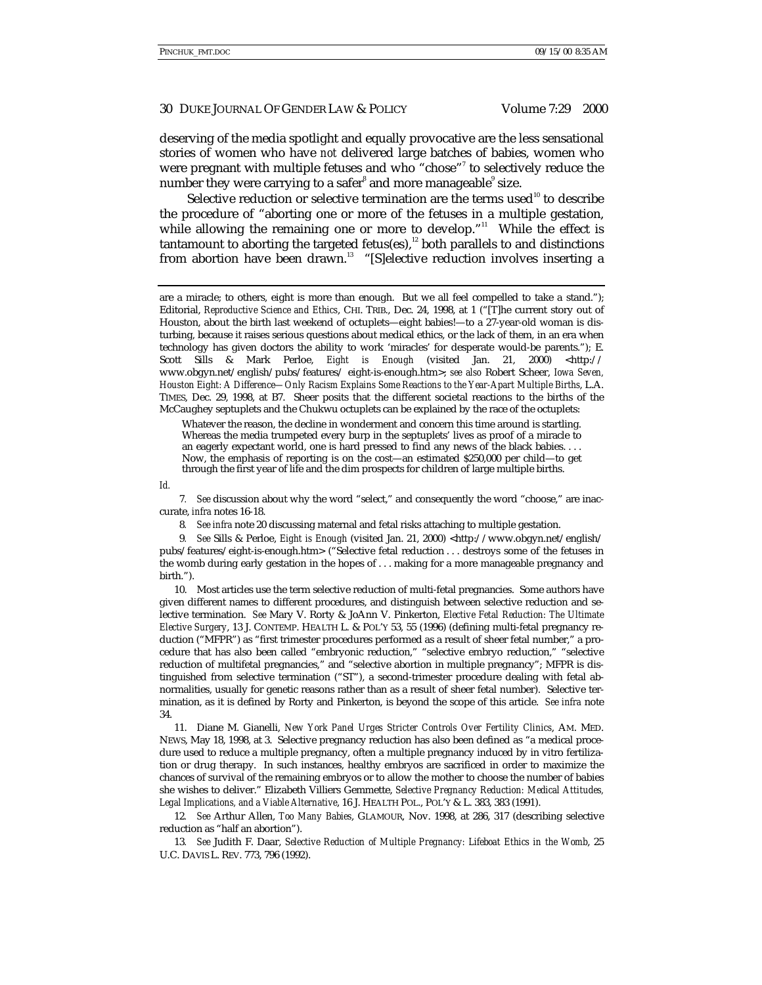deserving of the media spotlight and equally provocative are the less sensational stories of women who have *not* delivered large batches of babies, women who were pregnant with multiple fetuses and who "chose"<sup>7</sup> to selectively reduce the number they were carrying to a safer $^{\rm s}$  and more manageable $^{\rm s}$  size.

Selective reduction or selective termination are the terms used<sup>10</sup> to describe the procedure of "aborting one or more of the fetuses in a multiple gestation, while allowing the remaining one or more to develop."<sup>11</sup> While the effect is tantamount to aborting the targeted fetus(es), $12$  both parallels to and distinctions from abortion have been drawn.<sup>13</sup> "[S]elective reduction involves inserting a

Whatever the reason, the decline in wonderment and concern this time around is startling. Whereas the media trumpeted every burp in the septuplets' lives as proof of a miracle to an eagerly expectant world, one is hard pressed to find any news of the black babies. . . . Now, the emphasis of reporting is on the cost—an estimated \$250,000 per child—to get through the first year of life and the dim prospects for children of large multiple births.

*Id.*

7*. See* discussion about why the word "select," and consequently the word "choose," are inaccurate, *infra* notes 16-18.

8*. See infra* note 20 discussing maternal and fetal risks attaching to multiple gestation.

9*. See* Sills & Perloe, *Eight is Enough* (visited Jan. 21, 2000) <http://www.obgyn.net/english/ pubs/features/eight-is-enough.htm> ("Selective fetal reduction . . . destroys some of the fetuses in the womb during early gestation in the hopes of . . . making for a more manageable pregnancy and birth.").

10. Most articles use the term selective reduction of multi-fetal pregnancies. Some authors have given different names to different procedures, and distinguish between selective reduction and selective termination. *See* Mary V. Rorty & JoAnn V. Pinkerton, *Elective Fetal Reduction: The Ultimate Elective Surgery*, 13 J. CONTEMP. HEALTH L. & POL'Y 53, 55 (1996) (defining multi-fetal pregnancy reduction ("MFPR") as "first trimester procedures performed as a result of sheer fetal number," a procedure that has also been called "embryonic reduction," "selective embryo reduction," "selective reduction of multifetal pregnancies," and "selective abortion in multiple pregnancy"; MFPR is distinguished from selective termination ("ST"), a second-trimester procedure dealing with fetal abnormalities, usually for genetic reasons rather than as a result of sheer fetal number). Selective termination, as it is defined by Rorty and Pinkerton, is beyond the scope of this article. *See infra* note 34.

11. Diane M. Gianelli, *New York Panel Urges Stricter Controls Over Fertility Clinics*, AM. MED. NEWS, May 18, 1998, at 3. Selective pregnancy reduction has also been defined as "a medical procedure used to reduce a multiple pregnancy, often a multiple pregnancy induced by in vitro fertilization or drug therapy. In such instances, healthy embryos are sacrificed in order to maximize the chances of survival of the remaining embryos or to allow the mother to choose the number of babies she wishes to deliver." Elizabeth Villiers Gemmette, *Selective Pregnancy Reduction: Medical Attitudes, Legal Implications, and a Viable Alternative*, 16 J. HEALTH POL., POL'Y & L. 383, 383 (1991).

12*. See* Arthur Allen, *Too Many Babies*, GLAMOUR, Nov. 1998, at 286, 317 (describing selective reduction as "half an abortion").

13*. See* Judith F. Daar, *Selective Reduction of Multiple Pregnancy: Lifeboat Ethics in the Womb*, 25 U.C. DAVIS L. REV. 773, 796 (1992).

are a miracle; to others, eight is more than enough. But we all feel compelled to take a stand."); Editorial, *Reproductive Science and Ethics*, CHI. TRIB., Dec. 24, 1998, at 1 ("[T]he current story out of Houston, about the birth last weekend of octuplets—eight babies!—to a 27-year-old woman is disturbing, because it raises serious questions about medical ethics, or the lack of them, in an era when technology has given doctors the ability to work 'miracles' for desperate would-be parents."); E. Scott Sills & Mark Perloe, *Eight is Enough* (visited Jan. 21, 2000) <http:// www.obgyn.net/english/pubs/features/ eight-is-enough.htm>; *see also* Robert Scheer, *Iowa Seven, Houston Eight: A Difference—Only Racism Explains Some Reactions to the Year-Apart Multiple Births*, L.A. TIMES, Dec. 29, 1998, at B7. Sheer posits that the different societal reactions to the births of the McCaughey septuplets and the Chukwu octuplets can be explained by the race of the octuplets: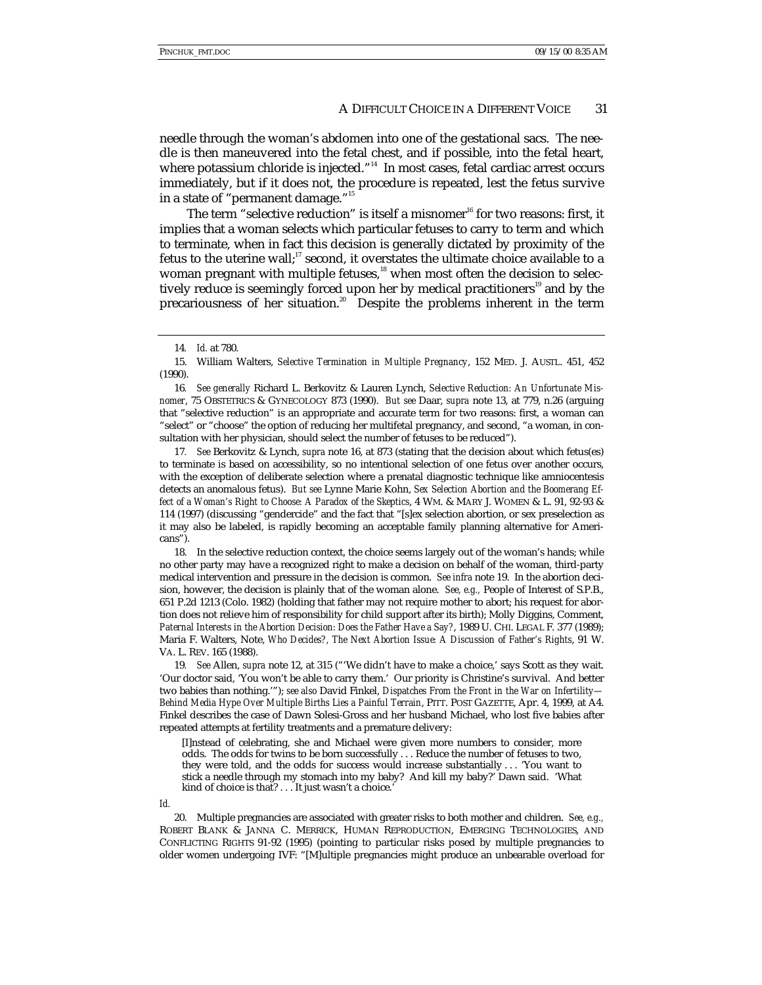needle through the woman's abdomen into one of the gestational sacs. The needle is then maneuvered into the fetal chest, and if possible, into the fetal heart, where potassium chloride is injected." 14 In most cases, fetal cardiac arrest occurs immediately, but if it does not, the procedure is repeated, lest the fetus survive in a state of "permanent damage."<sup>15</sup>

The term "selective reduction" is itself a misnomer $16$  for two reasons: first, it implies that a woman selects which particular fetuses to carry to term and which to terminate, when in fact this decision is generally dictated by proximity of the fetus to the uterine wall; $17$  second, it overstates the ultimate choice available to a woman pregnant with multiple fetuses, $18$  when most often the decision to selectively reduce is seemingly forced upon her by medical practitioners<sup>19</sup> and by the precariousness of her situation.<sup>20</sup> Despite the problems inherent in the term

16*. See generally* Richard L. Berkovitz & Lauren Lynch, *Selective Reduction: An Unfortunate Misnomer*, 75 OBSTETRICS & GYNECOLOGY 873 (1990). *But see* Daar, *supra* note 13, at 779, n.26 (arguing that "selective reduction" is an appropriate and accurate term for two reasons: first, a woman can "select" or "choose" the option of reducing her multifetal pregnancy, and second, "a woman, in consultation with her physician, should select the number of fetuses to be reduced").

17*. See* Berkovitz & Lynch, *supra* note 16, at 873 (stating that the decision about which fetus(es) to terminate is based on accessibility, so no intentional selection of one fetus over another occurs, with the exception of deliberate selection where a prenatal diagnostic technique like amniocentesis detects an anomalous fetus). *But see* Lynne Marie Kohn, *Sex Selection Abortion and the Boomerang Effect of a Woman's Right to Choose: A Paradox of the Skeptics*, 4 WM. & MARY J. WOMEN & L. 91, 92-93 & 114 (1997) (discussing "gendercide" and the fact that "[s]ex selection abortion, or sex preselection as it may also be labeled, is rapidly becoming an acceptable family planning alternative for Americans").

18. In the selective reduction context, the choice seems largely out of the woman's hands; while no other party may have a recognized right to make a decision on behalf of the woman, third-party medical intervention and pressure in the decision is common. *See infra* note 19. In the abortion decision, however, the decision is plainly that of the woman alone. *See, e.g.,* People of Interest of S.P.B., 651 P.2d 1213 (Colo. 1982) (holding that father may not require mother to abort; his request for abortion does not relieve him of responsibility for child support after its birth); Molly Diggins, Comment, *Paternal Interests in the Abortion Decision: Does the Father Have a Say?*, 1989 U. CHI. LEGAL F. 377 (1989); Maria F. Walters, Note, *Who Decides?, The Next Abortion Issue: A Discussion of Father's Rights*, 91 W. VA. L. REV. 165 (1988).

19*. See* Allen, *supra* note 12, at 315 ("'We didn't have to make a choice,' says Scott as they wait. 'Our doctor said, 'You won't be able to carry them.' Our priority is Christine's survival. And better two babies than nothing.'"); *see also* David Finkel, *Dispatches From the Front in the War on Infertility— Behind Media Hype Over Multiple Births Lies a Painful Terrain*, PITT. POST GAZETTE, Apr. 4, 1999, at A4. Finkel describes the case of Dawn Solesi-Gross and her husband Michael, who lost five babies after repeated attempts at fertility treatments and a premature delivery:

[I]nstead of celebrating, she and Michael were given more numbers to consider, more odds. The odds for twins to be born successfully . . . Reduce the number of fetuses to two, they were told, and the odds for success would increase substantially . . . 'You want to stick a needle through my stomach into my baby? And kill my baby?' Dawn said. 'What kind of choice is that? . . . It just wasn't a choice.'

*Id.*

20. Multiple pregnancies are associated with greater risks to both mother and children. *See, e.g.,* ROBERT BLANK & JANNA C. MERRICK, HUMAN REPRODUCTION, EMERGING TECHNOLOGIES, AND CONFLICTING RIGHTS 91-92 (1995) (pointing to particular risks posed by multiple pregnancies to older women undergoing IVF: "[M]ultiple pregnancies might produce an unbearable overload for

<sup>14</sup>*. Id.* at 780.

<sup>15.</sup> William Walters, *Selective Termination in Multiple Pregnancy*, 152 MED. J. AUSTL. 451, 452 (1990).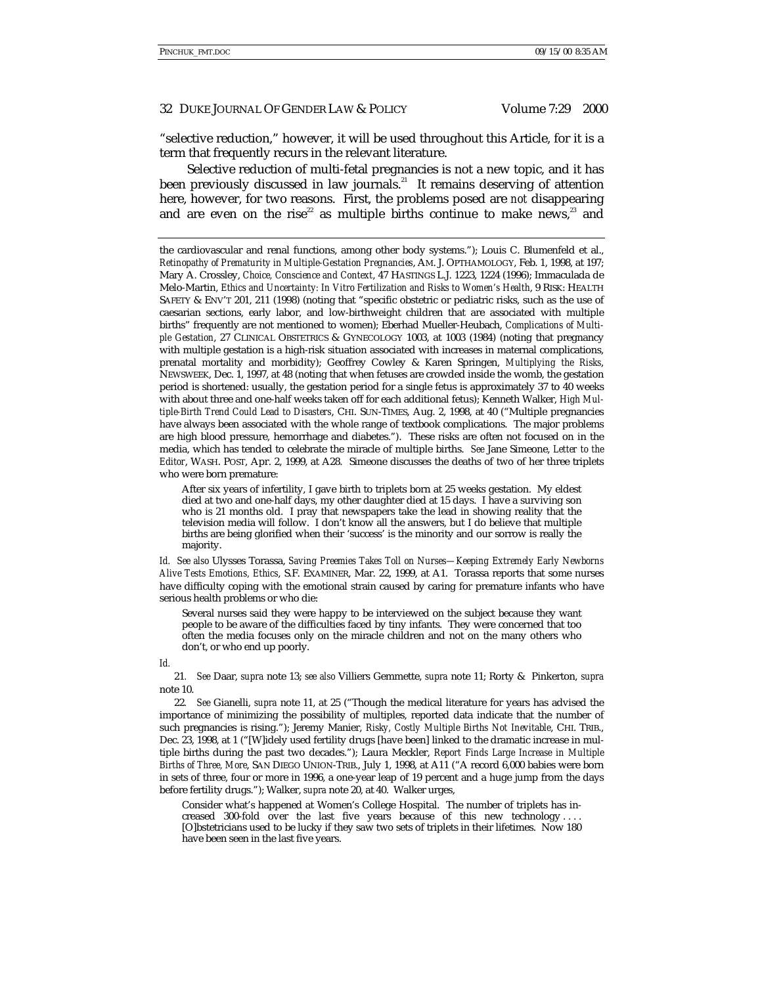"selective reduction," however, it will be used throughout this Article, for it is a term that frequently recurs in the relevant literature.

Selective reduction of multi-fetal pregnancies is not a new topic, and it has been previously discussed in law journals.<sup>21</sup> It remains deserving of attention here, however, for two reasons. First, the problems posed are *not* disappearing and are even on the rise<sup>22</sup> as multiple births continue to make news,<sup>23</sup> and

the cardiovascular and renal functions, among other body systems."); Louis C. Blumenfeld et al., *Retinopathy of Prematurity in Multiple-Gestation Pregnancies*, AM. J. OPTHAMOLOGY, Feb. 1, 1998, at 197; Mary A. Crossley, *Choice, Conscience and Context*, 47 HASTINGS L.J. 1223, 1224 (1996); Immaculada de Melo-Martin, *Ethics and Uncertainty: In Vitro Fertilization and Risks to Women's Health*, 9 RISK: HEALTH SAFETY & ENV'T 201, 211 (1998) (noting that "specific obstetric or pediatric risks, such as the use of caesarian sections, early labor, and low-birthweight children that are associated with multiple births" frequently are not mentioned to women); Eberhad Mueller-Heubach, *Complications of Multiple Gestation*, 27 CLINICAL OBSTETRICS & GYNECOLOGY 1003, at 1003 (1984) (noting that pregnancy with multiple gestation is a high-risk situation associated with increases in maternal complications, prenatal mortality and morbidity); Geoffrey Cowley & Karen Springen, *Multiplying the Risks*, NEWSWEEK, Dec. 1, 1997, at 48 (noting that when fetuses are crowded inside the womb, the gestation period is shortened: usually, the gestation period for a single fetus is approximately 37 to 40 weeks with about three and one-half weeks taken off for each additional fetus); Kenneth Walker, *High Multiple-Birth Trend Could Lead to Disasters*, CHI. SUN-TIMES, Aug. 2, 1998, at 40 ("Multiple pregnancies have always been associated with the whole range of textbook complications. The major problems are high blood pressure, hemorrhage and diabetes."). These risks are often not focused on in the media, which has tended to celebrate the miracle of multiple births. *See* Jane Simeone, *Letter to the Editor*, WASH. POST, Apr. 2, 1999, at A28. Simeone discusses the deaths of two of her three triplets who were born premature:

After six years of infertility, I gave birth to triplets born at 25 weeks gestation. My eldest died at two and one-half days, my other daughter died at 15 days. I have a surviving son who is 21 months old. I pray that newspapers take the lead in showing reality that the television media will follow. I don't know all the answers, but I do believe that multiple births are being glorified when their 'success' is the minority and our sorrow is really the majority.

*Id. See also* Ulysses Torassa, *Saving Preemies Takes Toll on Nurses—Keeping Extremely Early Newborns Alive Tests Emotions, Ethics*, S.F. EXAMINER, Mar. 22, 1999, at A1. Torassa reports that some nurses have difficulty coping with the emotional strain caused by caring for premature infants who have serious health problems or who die:

Several nurses said they were happy to be interviewed on the subject because they want people to be aware of the difficulties faced by tiny infants. They were concerned that too often the media focuses only on the miracle children and not on the many others who don't, or who end up poorly.

*Id.*

21*. See* Daar, *supra* note 13; *see also* Villiers Gemmette, *supra* note 11; Rorty & Pinkerton, *supra* note 10.

22*. See* Gianelli, *supra* note 11, at 25 ("Though the medical literature for years has advised the importance of minimizing the possibility of multiples, reported data indicate that the number of such pregnancies is rising."); Jeremy Manier, *Risky, Costly Multiple Births Not Inevitable*, CHI. TRIB., Dec. 23, 1998, at 1 ("[W]idely used fertility drugs [have been] linked to the dramatic increase in multiple births during the past two decades."); Laura Meckler, *Report Finds Large Increase in Multiple Births of Three, More*, SAN DIEGO UNION-TRIB., July 1, 1998, at A11 ("A record 6,000 babies were born in sets of three, four or more in 1996, a one-year leap of 19 percent and a huge jump from the days before fertility drugs."); Walker, *supra* note 20, at 40. Walker urges,

Consider what's happened at Women's College Hospital. The number of triplets has increased 300-fold over the last five years because of this new technology . . . . [O]bstetricians used to be lucky if they saw two sets of triplets in their lifetimes. Now 180 have been seen in the last five years.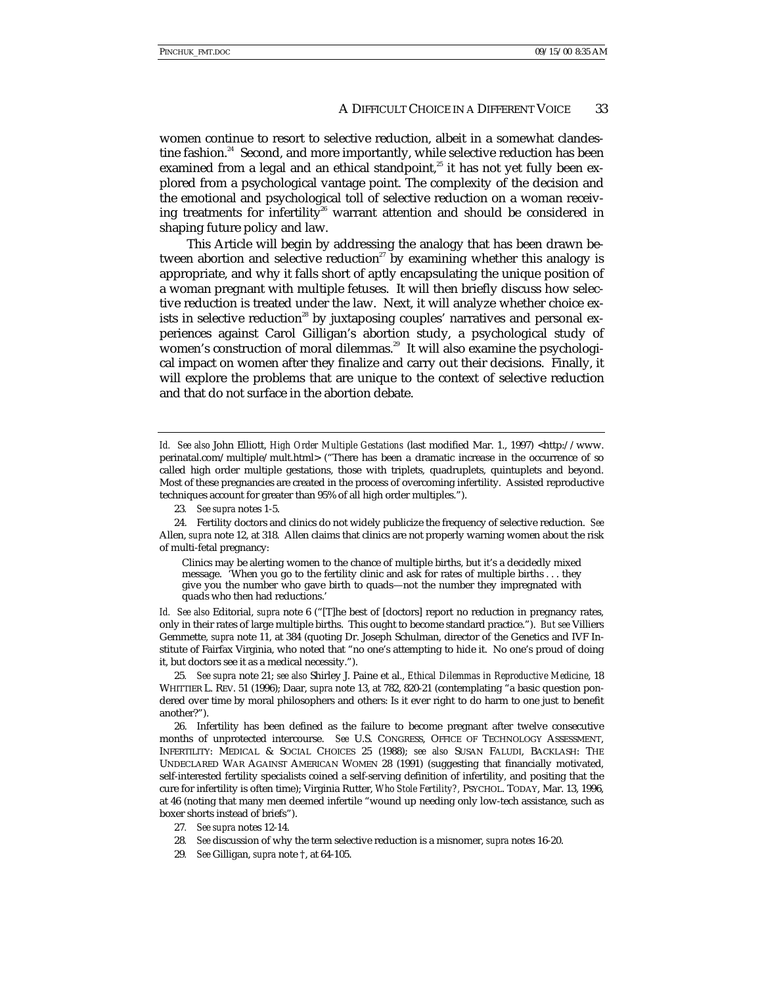women continue to resort to selective reduction, albeit in a somewhat clandestine fashion.<sup>24</sup> Second, and more importantly, while selective reduction has been examined from a legal and an ethical standpoint, $25$  it has not yet fully been explored from a psychological vantage point. The complexity of the decision and the emotional and psychological toll of selective reduction on a woman receiving treatments for infertility<sup>26</sup> warrant attention and should be considered in shaping future policy and law.

This Article will begin by addressing the analogy that has been drawn between abortion and selective reduction<sup>27</sup> by examining whether this analogy is appropriate, and why it falls short of aptly encapsulating the unique position of a woman pregnant with multiple fetuses. It will then briefly discuss how selective reduction is treated under the law. Next, it will analyze whether choice exists in selective reduction<sup>28</sup> by juxtaposing couples' narratives and personal experiences against Carol Gilligan's abortion study, a psychological study of women's construction of moral dilemmas.<sup>29</sup> It will also examine the psychological impact on women after they finalize and carry out their decisions. Finally, it will explore the problems that are unique to the context of selective reduction and that do not surface in the abortion debate.

23*. See supra* notes 1-5.

Clinics may be alerting women to the chance of multiple births, but it's a decidedly mixed message. 'When you go to the fertility clinic and ask for rates of multiple births . . . they give you the number who gave birth to quads—not the number they impregnated with quads who then had reductions.'

*Id. See also* Editorial, *supra* note 6 ("[T]he best of [doctors] report no reduction in pregnancy rates, only in their rates of large multiple births. This ought to become standard practice."). *But see* Villiers Gemmette, *supra* note 11, at 384 (quoting Dr. Joseph Schulman, director of the Genetics and IVF Institute of Fairfax Virginia, who noted that "no one's attempting to hide it. No one's proud of doing it, but doctors see it as a medical necessity.").

25*. See supra* note 21; *see also* Shirley J. Paine et al., *Ethical Dilemmas in Reproductive Medicine*, 18 WHITTIER L. REV. 51 (1996); Daar, *supra* note 13, at 782, 820-21 (contemplating "a basic question pondered over time by moral philosophers and others: Is it ever right to do harm to one just to benefit another?").

26. Infertility has been defined as the failure to become pregnant after twelve consecutive months of unprotected intercourse. *See* U.S. CONGRESS, OFFICE OF TECHNOLOGY ASSESSMENT, INFERTILITY: MEDICAL & SOCIAL CHOICES 25 (1988); *see also* SUSAN FALUDI, BACKLASH: THE UNDECLARED WAR AGAINST AMERICAN WOMEN 28 (1991) (suggesting that financially motivated, self-interested fertility specialists coined a self-serving definition of infertility, and positing that the cure for infertility is often time); Virginia Rutter, *Who Stole Fertility?,* PSYCHOL. TODAY, Mar. 13, 1996, at 46 (noting that many men deemed infertile "wound up needing only low-tech assistance, such as boxer shorts instead of briefs").

- 27*. See supra* notes 12-14.
- 28*. See* discussion of why the term selective reduction is a misnomer, *supra* notes 16-20.
- 29*. See* Gilligan, *supra* note †, at 64-105.

Id. See also John Elliott, *High Order Multiple Gestations* (last modified Mar. 1., 1997) <http://www. perinatal.com/multiple/mult.html> ("There has been a dramatic increase in the occurrence of so called high order multiple gestations, those with triplets, quadruplets, quintuplets and beyond. Most of these pregnancies are created in the process of overcoming infertility. Assisted reproductive techniques account for greater than 95% of all high order multiples.").

<sup>24.</sup> Fertility doctors and clinics do not widely publicize the frequency of selective reduction. *See* Allen, *supra* note 12, at 318. Allen claims that clinics are not properly warning women about the risk of multi-fetal pregnancy: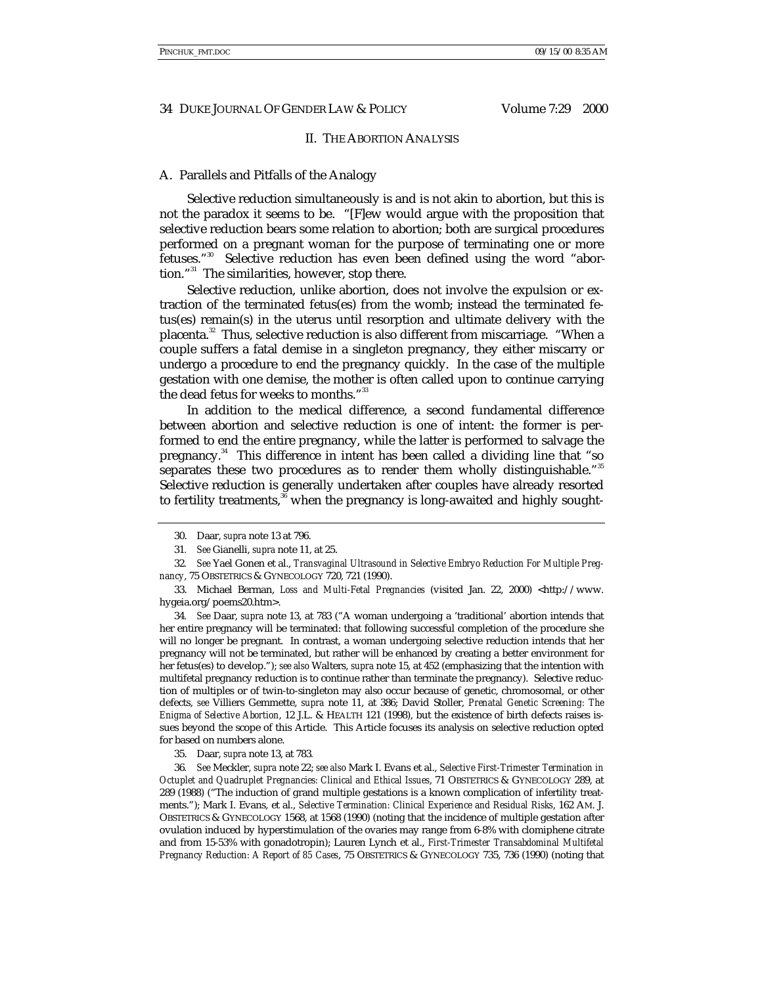# II. THE ABORTION ANALYSIS

# A. Parallels and Pitfalls of the Analogy

Selective reduction simultaneously is and is not akin to abortion, but this is not the paradox it seems to be. "[F]ew would argue with the proposition that selective reduction bears some relation to abortion; both are surgical procedures performed on a pregnant woman for the purpose of terminating one or more fetuses." 30 Selective reduction has even been defined using the word "abortion." 31 The similarities, however, stop there.

Selective reduction, unlike abortion, does not involve the expulsion or extraction of the terminated fetus(es) from the womb; instead the terminated fetus(es) remain(s) in the uterus until resorption and ultimate delivery with the placenta.<sup>32</sup> Thus, selective reduction is also different from miscarriage. "When a couple suffers a fatal demise in a singleton pregnancy, they either miscarry or undergo a procedure to end the pregnancy quickly. In the case of the multiple gestation with one demise, the mother is often called upon to continue carrying the dead fetus for weeks to months." 33

In addition to the medical difference, a second fundamental difference between abortion and selective reduction is one of intent: the former is performed to end the entire pregnancy, while the latter is performed to salvage the pregnancy.34 This difference in intent has been called a dividing line that "so separates these two procedures as to render them wholly distinguishable."<sup>35</sup> Selective reduction is generally undertaken after couples have already resorted to fertility treatments,<sup>36</sup> when the pregnancy is long-awaited and highly sought-

33. Michael Berman, *Loss and Multi-Fetal Pregnancies* (visited Jan. 22, 2000) <http://www. hygeia.org/poems20.htm>.

34*. See* Daar, *supra* note 13, at 783 ("A woman undergoing a 'traditional' abortion intends that her entire pregnancy will be terminated: that following successful completion of the procedure she will no longer be pregnant. In contrast, a woman undergoing selective reduction intends that her pregnancy will not be terminated, but rather will be enhanced by creating a better environment for her fetus(es) to develop."); *see also* Walters, *supra* note 15, at 452 (emphasizing that the intention with multifetal pregnancy reduction is to continue rather than terminate the pregnancy). Selective reduction of multiples or of twin-to-singleton may also occur because of genetic, chromosomal, or other defects, *see* Villiers Gemmette, *supra* note 11, at 386; David Stoller, *Prenatal Genetic Screening: The Enigma of Selective Abortion*, 12 J.L. & HEALTH 121 (1998), but the existence of birth defects raises issues beyond the scope of this Article. This Article focuses its analysis on selective reduction opted for based on numbers alone.

35. Daar, *supra* note 13, at 783*.*

36*. See* Meckler, *supra* note 22; *see also* Mark I. Evans et al., *Selective First-Trimester Termination in Octuplet and Quadruplet Pregnancies: Clinical and Ethical Issues*, 71 OBSTETRICS & GYNECOLOGY 289, at 289 (1988) ("The induction of grand multiple gestations is a known complication of infertility treatments."); Mark I. Evans, et al., *Selective Termination: Clinical Experience and Residual Risks*, 162 AM. J. OBSTETRICS & GYNECOLOGY 1568, at 1568 (1990) (noting that the incidence of multiple gestation after ovulation induced by hyperstimulation of the ovaries may range from 6-8% with clomiphene citrate and from 15-53% with gonadotropin); Lauren Lynch et al., *First-Trimester Transabdominal Multifetal Pregnancy Reduction: A Report of 85 Cases*, 75 OBSTETRICS & GYNECOLOGY 735, 736 (1990) (noting that

<sup>30.</sup> Daar, *supra* note 13 at 796.

<sup>31</sup>*. See* Gianelli, *supra* note 11, at 25.

<sup>32</sup>*. See* Yael Gonen et al., *Transvaginal Ultrasound in Selective Embryo Reduction For Multiple Pregnancy*, 75 OBSTETRICS & GYNECOLOGY 720, 721 (1990).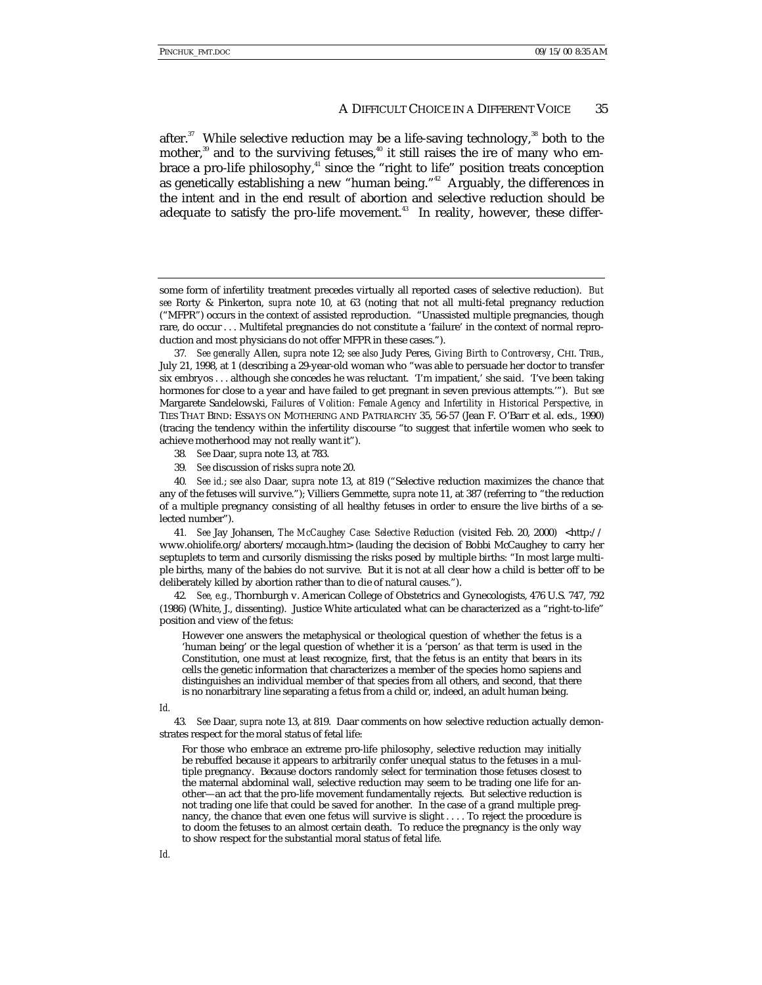after. $37$  While selective reduction may be a life-saving technology,  $38$  both to the mother, $39$  and to the surviving fetuses, $40$  it still raises the ire of many who embrace a pro-life philosophy, $4^{\circ}$  since the "right to life" position treats conception as genetically establishing a new "human being."<sup>42</sup> Arguably, the differences in the intent and in the end result of abortion and selective reduction should be adequate to satisfy the pro-life movement.<sup>43</sup> In reality, however, these differ-

- 38*. See* Daar, *supra* note 13, at 783.
- 39*. See* discussion of risks *supra* note 20.

40*. See id.*; *see also* Daar, *supra* note 13, at 819 ("Selective reduction maximizes the chance that any of the fetuses will survive."); Villiers Gemmette, *supra* note 11, at 387 (referring to "the reduction of a multiple pregnancy consisting of all healthy fetuses in order to ensure the live births of a selected number").

41*. See* Jay Johansen, *The McCaughey Case: Selective Reduction* (visited Feb. 20, 2000) <http:// www.ohiolife.org/aborters/mccaugh.htm> (lauding the decision of Bobbi McCaughey to carry her septuplets to term and cursorily dismissing the risks posed by multiple births: "In most large multiple births, many of the babies do not survive. But it is not at all clear how a child is better off to be deliberately killed by abortion rather than to die of natural causes.").

42*. See, e.g.,* Thornburgh v. American College of Obstetrics and Gynecologists, 476 U.S. 747, 792 (1986) (White, J., dissenting). Justice White articulated what can be characterized as a "right-to-life" position and view of the fetus:

However one answers the metaphysical or theological question of whether the fetus is a 'human being' or the legal question of whether it is a 'person' as that term is used in the Constitution, one must at least recognize, first, that the fetus is an entity that bears in its cells the genetic information that characterizes a member of the species homo sapiens and distinguishes an individual member of that species from all others, and second, that there is no nonarbitrary line separating a fetus from a child or, indeed, an adult human being.

*Id.*

43*. See* Daar, *supra* note 13, at 819. Daar comments on how selective reduction actually demonstrates respect for the moral status of fetal life:

For those who embrace an extreme pro-life philosophy, selective reduction may initially be rebuffed because it appears to arbitrarily confer unequal status to the fetuses in a multiple pregnancy. Because doctors randomly select for termination those fetuses closest to the maternal abdominal wall, selective reduction may seem to be trading one life for another—an act that the pro-life movement fundamentally rejects. But selective reduction is not trading one life that could be saved for another. In the case of a grand multiple pregnancy, the chance that even one fetus will survive is slight . . . . To reject the procedure is to doom the fetuses to an almost certain death. To reduce the pregnancy is the only way to show respect for the substantial moral status of fetal life.

some form of infertility treatment precedes virtually all reported cases of selective reduction). *But see* Rorty & Pinkerton, *supra* note 10, at 63 (noting that not all multi-fetal pregnancy reduction ("MFPR") occurs in the context of assisted reproduction. "Unassisted multiple pregnancies, though rare, do occur . . . Multifetal pregnancies do not constitute a 'failure' in the context of normal reproduction and most physicians do not offer MFPR in these cases.").

<sup>37</sup>*. See generally* Allen, *supra* note 12; *see also* Judy Peres, *Giving Birth to Controversy*, CHI. TRIB., July 21, 1998, at 1 (describing a 29-year-old woman who "was able to persuade her doctor to transfer six embryos . . . although she concedes he was reluctant. 'I'm impatient,' she said. 'I've been taking hormones for close to a year and have failed to get pregnant in seven previous attempts.'"). *But see* Margarete Sandelowski, *Failures of Volition: Female Agency and Infertility in Historical Perspective*, *in* TIES THAT BIND: ESSAYS ON MOTHERING AND PATRIARCHY 35, 56-57 (Jean F. O'Barr et al. eds., 1990) (tracing the tendency within the infertility discourse "to suggest that infertile women who seek to achieve motherhood may not really want it").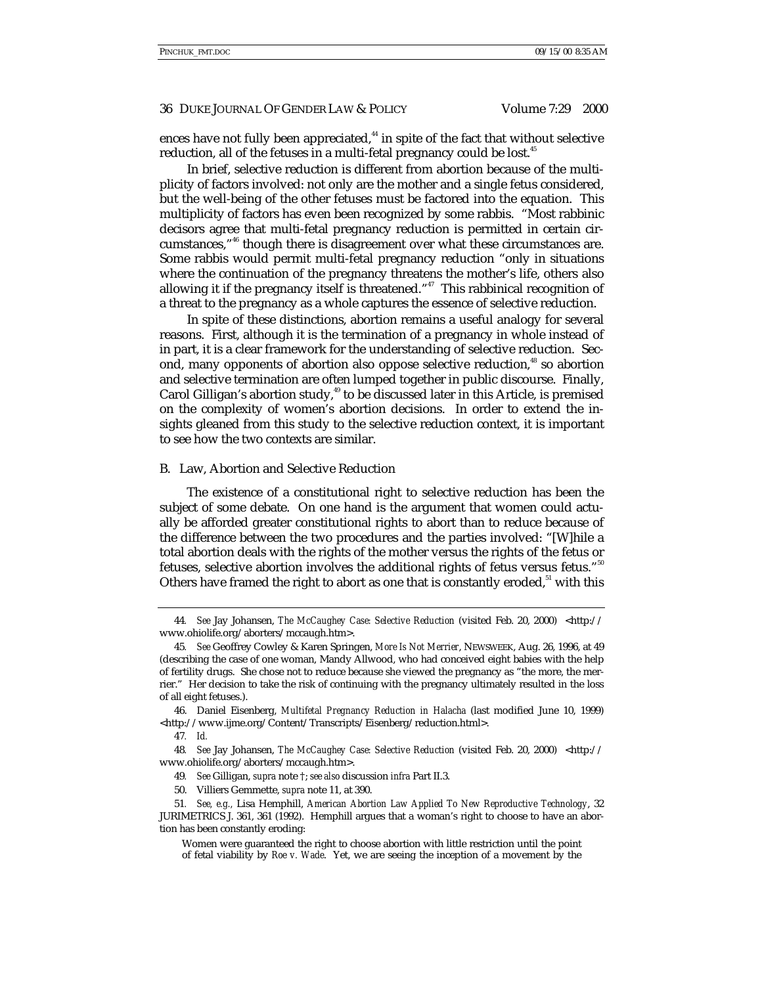ences have not fully been appreciated, $44$  in spite of the fact that without selective reduction, all of the fetuses in a multi-fetal pregnancy could be lost.<sup>45</sup>

In brief, selective reduction is different from abortion because of the multiplicity of factors involved: not only are the mother and a single fetus considered, but the well-being of the other fetuses must be factored into the equation. This multiplicity of factors has even been recognized by some rabbis. "Most rabbinic decisors agree that multi-fetal pregnancy reduction is permitted in certain circumstances," 46 though there is disagreement over what these circumstances are. Some rabbis would permit multi-fetal pregnancy reduction "only in situations where the continuation of the pregnancy threatens the mother's life, others also allowing it if the pregnancy itself is threatened."<sup>47</sup> This rabbinical recognition of a threat to the pregnancy as a whole captures the essence of selective reduction.

In spite of these distinctions, abortion remains a useful analogy for several reasons. First, although it is the termination of a pregnancy in whole instead of in part, it is a clear framework for the understanding of selective reduction. Second, many opponents of abortion also oppose selective reduction,<sup>48</sup> so abortion and selective termination are often lumped together in public discourse. Finally, Carol Gilligan's abortion study, $49$  to be discussed later in this Article, is premised on the complexity of women's abortion decisions. In order to extend the insights gleaned from this study to the selective reduction context, it is important to see how the two contexts are similar.

#### B. Law, Abortion and Selective Reduction

The existence of a constitutional right to selective reduction has been the subject of some debate. On one hand is the argument that women could actually be afforded greater constitutional rights to abort than to reduce because of the difference between the two procedures and the parties involved: "[W]hile a total abortion deals with the rights of the mother versus the rights of the fetus or fetuses, selective abortion involves the additional rights of fetus versus fetus." $^{\scriptscriptstyle 50}$ Others have framed the right to abort as one that is constantly eroded, $51$  with this

<sup>44</sup>*. See* Jay Johansen, *The McCaughey Case: Selective Reduction* (visited Feb. 20, 2000) <http:// www.ohiolife.org/aborters/mccaugh.htm>.

<sup>45</sup>*. See* Geoffrey Cowley & Karen Springen, *More Is Not Merrier*, NEWSWEEK, Aug. 26, 1996, at 49 (describing the case of one woman, Mandy Allwood, who had conceived eight babies with the help of fertility drugs. She chose not to reduce because she viewed the pregnancy as "the more, the merrier." Her decision to take the risk of continuing with the pregnancy ultimately resulted in the loss of all eight fetuses.).

<sup>46.</sup> Daniel Eisenberg, *Multifetal Pregnancy Reduction in Halacha* (last modified June 10, 1999) <http://www.ijme.org/Content/Transcripts/Eisenberg/reduction.html>.

<sup>47</sup>*. Id.*

<sup>48</sup>*. See* Jay Johansen, *The McCaughey Case: Selective Reduction* (visited Feb. 20, 2000) <http:// www.ohiolife.org/aborters/mccaugh.htm>.

<sup>49</sup>*. See* Gilligan, *supra* note †; *see also* discussion *infra* Part II.3.

<sup>50.</sup> Villiers Gemmette, *supra* note 11, at 390.

<sup>51</sup>*. See, e.g.,* Lisa Hemphill, *American Abortion Law Applied To New Reproductive Technology*, 32 JURIMETRICS J. 361, 361 (1992). Hemphill argues that a woman's right to choose to have an abortion has been constantly eroding:

Women were guaranteed the right to choose abortion with little restriction until the point of fetal viability by *Roe v. Wade*. Yet, we are seeing the inception of a movement by the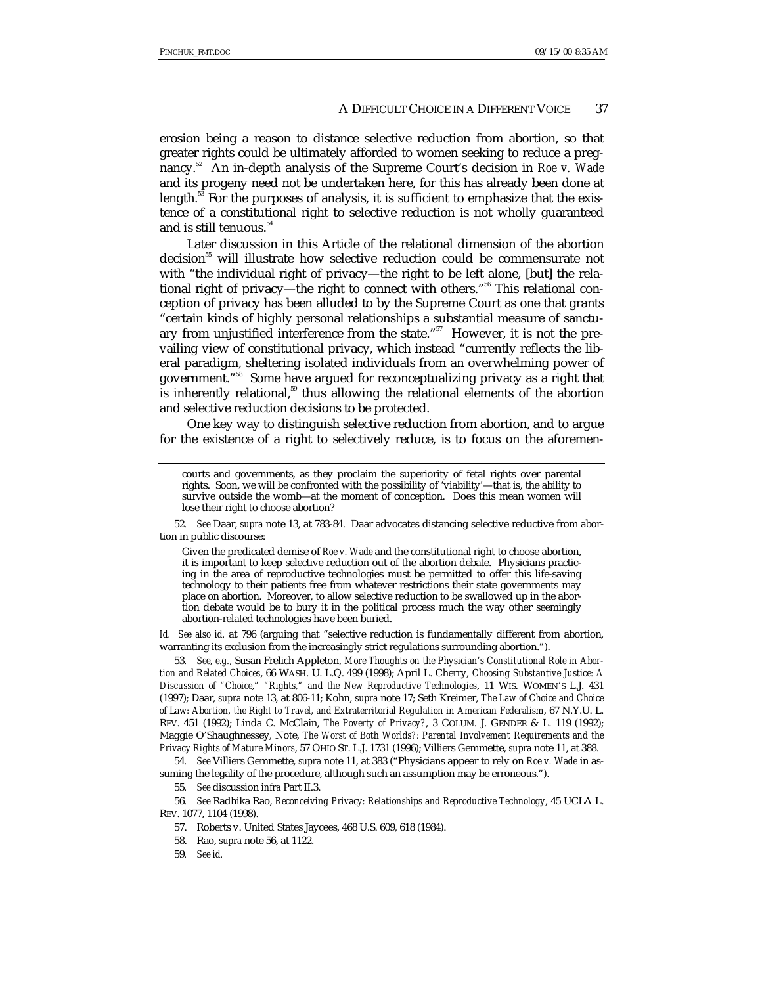erosion being a reason to distance selective reduction from abortion, so that greater rights could be ultimately afforded to women seeking to reduce a pregnancy.52 An in-depth analysis of the Supreme Court's decision in *Roe v. Wade* and its progeny need not be undertaken here, for this has already been done at length.<sup>53</sup> For the purposes of analysis, it is sufficient to emphasize that the existence of a constitutional right to selective reduction is not wholly guaranteed and is still tenuous.<sup>54</sup>

Later discussion in this Article of the relational dimension of the abortion decision<sup>55</sup> will illustrate how selective reduction could be commensurate not with "the individual right of privacy—the right to be left alone, [but] the relational right of privacy—the right to connect with others."<sup>56</sup> This relational conception of privacy has been alluded to by the Supreme Court as one that grants "certain kinds of highly personal relationships a substantial measure of sanctuary from unjustified interference from the state."<sup>57</sup> However, it is not the prevailing view of constitutional privacy, which instead "currently reflects the liberal paradigm, sheltering isolated individuals from an overwhelming power of government." 58 Some have argued for reconceptualizing privacy as a right that is inherently relational, $59$  thus allowing the relational elements of the abortion and selective reduction decisions to be protected.

One key way to distinguish selective reduction from abortion, and to argue for the existence of a right to selectively reduce, is to focus on the aforemen-

52*. See* Daar, *supra* note 13, at 783-84. Daar advocates distancing selective reductive from abortion in public discourse:

Given the predicated demise of *Roe v. Wade* and the constitutional right to choose abortion, it is important to keep selective reduction out of the abortion debate. Physicians practicing in the area of reproductive technologies must be permitted to offer this life-saving technology to their patients free from whatever restrictions their state governments may place on abortion. Moreover, to allow selective reduction to be swallowed up in the abortion debate would be to bury it in the political process much the way other seemingly abortion-related technologies have been buried.

*Id. See also id.* at 796 (arguing that "selective reduction is fundamentally different from abortion, warranting its exclusion from the increasingly strict regulations surrounding abortion.").

53*. See, e.g.,* Susan Frelich Appleton, *More Thoughts on the Physician's Constitutional Role in Abortion and Related Choices*, 66 WASH. U. L.Q. 499 (1998); April L. Cherry, *Choosing Substantive Justice: A Discussion of "Choice," "Rights," and the New Reproductive Technologies*, 11 WIS. WOMEN'S L.J. 431 (1997); Daar, *supra* note 13, at 806-11; Kohn, *supra* note 17; Seth Kreimer, *The Law of Choice and Choice of Law: Abortion, the Right to Travel, and Extraterritorial Regulation in American Federalism*, 67 N.Y.U. L. REV. 451 (1992); Linda C. McClain, *The Poverty of Privacy?*, 3 COLUM. J. GENDER & L. 119 (1992); Maggie O'Shaughnessey, Note, *The Worst of Both Worlds?: Parental Involvement Requirements and the Privacy Rights of Mature Minors*, 57 OHIO ST. L.J. 1731 (1996); Villiers Gemmette, *supra* note 11, at 388.

54*. See* Villiers Gemmette, *supra* note 11, at 383 ("Physicians appear to rely on *Roe v. Wade* in assuming the legality of the procedure, although such an assumption may be erroneous.").

55*. See* discussion *infra* Part II.3.

56*. See* Radhika Rao, *Reconceiving Privacy: Relationships and Reproductive Technology*, 45 UCLA L. REV. 1077, 1104 (1998).

57. Roberts v. United States Jaycees, 468 U.S. 609, 618 (1984).

59*. See id.*

courts and governments, as they proclaim the superiority of fetal rights over parental rights. Soon, we will be confronted with the possibility of 'viability'—that is, the ability to survive outside the womb—at the moment of conception. Does this mean women will lose their right to choose abortion?

<sup>58.</sup> Rao, *supra* note 56, at 1122.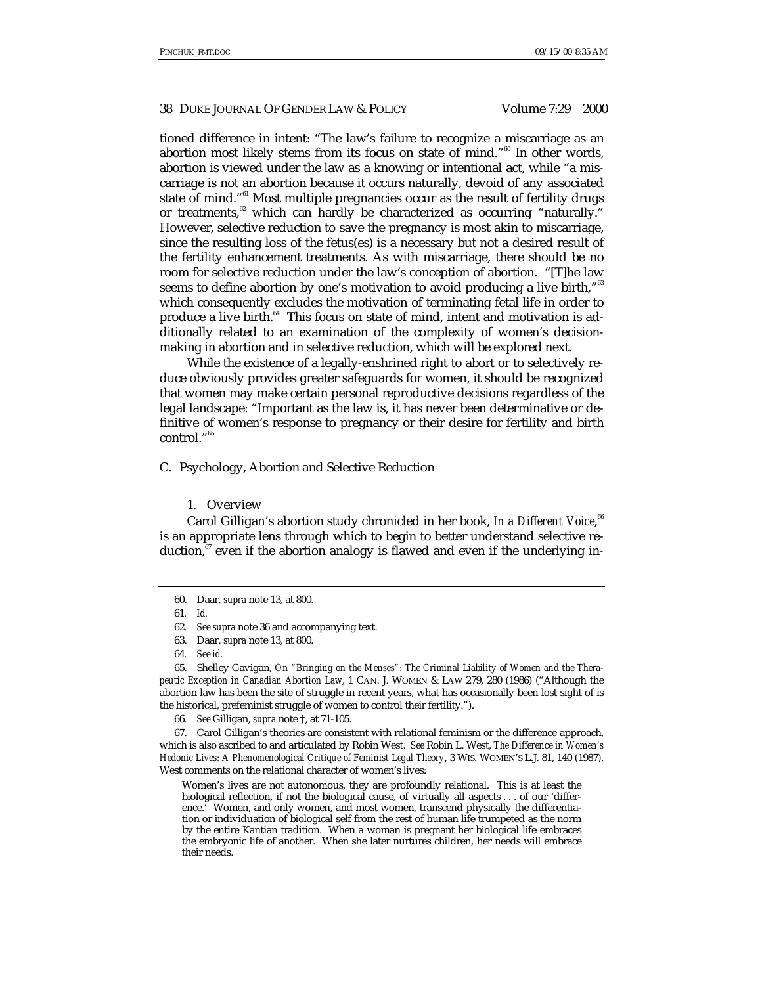#### 38 DUKE JOURNAL OF GENDER LAW & POLICY Volume 7:29 2000

tioned difference in intent: "The law's failure to recognize a miscarriage as an abortion most likely stems from its focus on state of mind."<sup>60</sup> In other words, abortion is viewed under the law as a knowing or intentional act, while "a miscarriage is not an abortion because it occurs naturally, devoid of any associated state of mind."<sup>61</sup> Most multiple pregnancies occur as the result of fertility drugs or treatments, $62$  which can hardly be characterized as occurring "naturally." However, selective reduction to save the pregnancy is most akin to miscarriage, since the resulting loss of the fetus(es) is a necessary but not a desired result of the fertility enhancement treatments. As with miscarriage, there should be no room for selective reduction under the law's conception of abortion. "[T]he law seems to define abortion by one's motivation to avoid producing a live birth," $^{\mathrm{63}}$ which consequently excludes the motivation of terminating fetal life in order to produce a live birth.<sup>64</sup> This focus on state of mind, intent and motivation is additionally related to an examination of the complexity of women's decisionmaking in abortion and in selective reduction, which will be explored next.

While the existence of a legally-enshrined right to abort or to selectively reduce obviously provides greater safeguards for women, it should be recognized that women may make certain personal reproductive decisions regardless of the legal landscape: "Important as the law is, it has never been determinative or definitive of women's response to pregnancy or their desire for fertility and birth control." 65

C. Psychology, Abortion and Selective Reduction

# 1. Overview

Carol Gilligan's abortion study chronicled in her book, *In a Different Voice*, 66 is an appropriate lens through which to begin to better understand selective reduction,  $\mathbf{F}$  even if the abortion analogy is flawed and even if the underlying in-

66*. See* Gilligan, *supra* note †, at 71-105.

67. Carol Gilligan's theories are consistent with relational feminism or the difference approach, which is also ascribed to and articulated by Robin West. *See* Robin L. West, *The Difference in Women's Hedonic Lives: A Phenomenological Critique of Feminist Legal Theory*, 3 WIS. WOMEN'S L.J. 81, 140 (1987). West comments on the relational character of women's lives:

Women's lives are not autonomous, they are profoundly relational. This is at least the biological reflection, if not the biological cause, of virtually all aspects . . . of our 'difference.' Women, and only women, and most women, transcend physically the differentiation or individuation of biological self from the rest of human life trumpeted as the norm by the entire Kantian tradition. When a woman is pregnant her biological life embraces the embryonic life of another. When she later nurtures children, her needs will embrace their needs.

<sup>60.</sup> Daar, *supra* note 13, at 800.

<sup>61</sup>*. Id.*

<sup>62</sup>*. See supra* note 36 and accompanying text.

<sup>63.</sup> Daar, *supra* note 13, at 800.

<sup>64</sup>*. See id.*

<sup>65.</sup> Shelley Gavigan, *On "Bringing on the Menses": The Criminal Liability of Women and the Therapeutic Exception in Canadian Abortion Law*, 1 CAN. J. WOMEN & LAW 279, 280 (1986) ("Although the abortion law has been the site of struggle in recent years, what has occasionally been lost sight of is the historical, prefeminist struggle of women to control their fertility.").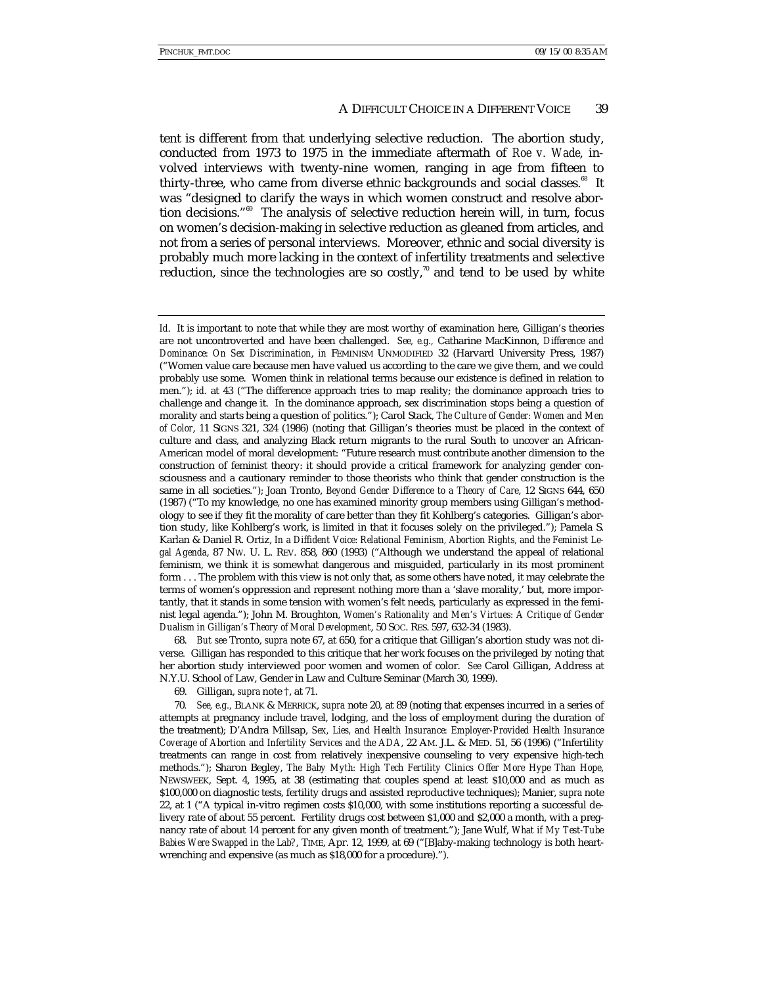tent is different from that underlying selective reduction. The abortion study, conducted from 1973 to 1975 in the immediate aftermath of *Roe v. Wade*, involved interviews with twenty-nine women, ranging in age from fifteen to thirty-three, who came from diverse ethnic backgrounds and social classes.<sup>68</sup> It was "designed to clarify the ways in which women construct and resolve abortion decisions." 69 The analysis of selective reduction herein will, in turn, focus on women's decision-making in selective reduction as gleaned from articles, and not from a series of personal interviews. Moreover, ethnic and social diversity is probably much more lacking in the context of infertility treatments and selective reduction, since the technologies are so costly, $\alpha$  and tend to be used by white

68. *But see* Tronto, *supra* note 67, at 650, for a critique that Gilligan's abortion study was not diverse*.* Gilligan has responded to this critique that her work focuses on the privileged by noting that her abortion study interviewed poor women and women of color. *See* Carol Gilligan, Address at N.Y.U. School of Law, Gender in Law and Culture Seminar (March 30, 1999).

69. Gilligan, *supra* note †, at 71.

*Id.* It is important to note that while they are most worthy of examination here, Gilligan's theories are not uncontroverted and have been challenged. *See, e.g.,* Catharine MacKinnon, *Difference and Dominance: On Sex Discrimination*, *in* FEMINISM UNMODIFIED 32 (Harvard University Press, 1987) ("Women value care because men have valued us according to the care we give them, and we could probably use some. Women think in relational terms because our existence is defined in relation to men."); *id.* at 43 ("The difference approach tries to map reality; the dominance approach tries to challenge and change it. In the dominance approach, sex discrimination stops being a question of morality and starts being a question of politics."); Carol Stack, *The Culture of Gender: Women and Men of Color*, 11 SIGNS 321, 324 (1986) (noting that Gilligan's theories must be placed in the context of culture and class, and analyzing Black return migrants to the rural South to uncover an African-American model of moral development: "Future research must contribute another dimension to the construction of feminist theory: it should provide a critical framework for analyzing gender consciousness and a cautionary reminder to those theorists who think that gender construction is the same in all societies."); Joan Tronto, *Beyond Gender Difference to a Theory of Care*, 12 SIGNS 644, 650 (1987) ("To my knowledge, no one has examined minority group members using Gilligan's methodology to see if they fit the morality of care better than they fit Kohlberg's categories. Gilligan's abortion study, like Kohlberg's work, is limited in that it focuses solely on the privileged."); Pamela S. Karlan & Daniel R. Ortiz, *In a Diffident Voice: Relational Feminism, Abortion Rights, and the Feminist Legal Agenda*, 87 NW. U. L. REV. 858, 860 (1993) ("Although we understand the appeal of relational feminism, we think it is somewhat dangerous and misguided, particularly in its most prominent form . . . The problem with this view is not only that, as some others have noted, it may celebrate the terms of women's oppression and represent nothing more than a 'slave morality,' but, more importantly, that it stands in some tension with women's felt needs, particularly as expressed in the feminist legal agenda."); John M. Broughton, *Women's Rationality and Men's Virtues: A Critique of Gender Dualism in Gilligan's Theory of Moral Development*, 50 SOC. RES. 597, 632-34 (1983).

<sup>70</sup>*. See, e.g.,* BLANK & MERRICK, *supra* note 20, at 89 (noting that expenses incurred in a series of attempts at pregnancy include travel, lodging, and the loss of employment during the duration of the treatment); D'Andra Millsap, *Sex, Lies, and Health Insurance: Employer-Provided Health Insurance Coverage of Abortion and Infertility Services and the ADA*, 22 AM. J.L. & MED. 51, 56 (1996) ("Infertility treatments can range in cost from relatively inexpensive counseling to very expensive high-tech methods."); Sharon Begley, *The Baby Myth: High Tech Fertility Clinics Offer More Hype Than Hope*, NEWSWEEK, Sept. 4, 1995, at 38 (estimating that couples spend at least \$10,000 and as much as \$100,000 on diagnostic tests, fertility drugs and assisted reproductive techniques); Manier, *supra* note 22, at 1 ("A typical in-vitro regimen costs \$10,000, with some institutions reporting a successful delivery rate of about 55 percent. Fertility drugs cost between \$1,000 and \$2,000 a month, with a pregnancy rate of about 14 percent for any given month of treatment."); Jane Wulf, *What if My Test-Tube Babies Were Swapped in the Lab?*, TIME, Apr. 12, 1999, at 69 ("[B]aby-making technology is both heartwrenching and expensive (as much as \$18,000 for a procedure).").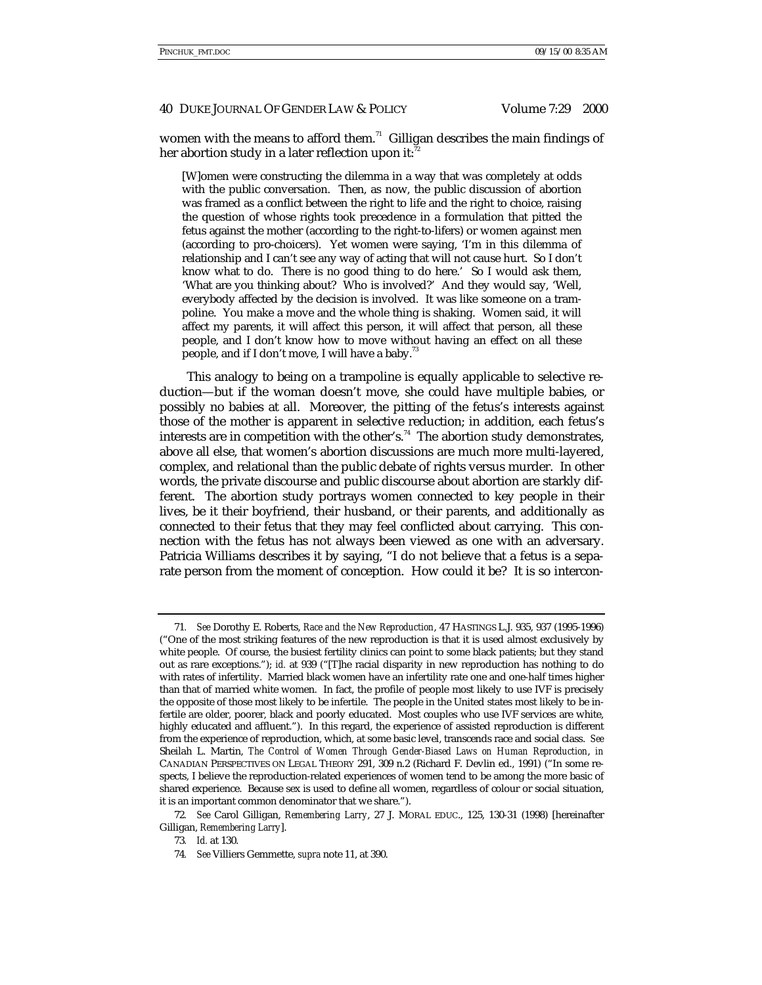women with the means to afford them. $71$  Gilligan describes the main findings of her abortion study in a later reflection upon it:

[W]omen were constructing the dilemma in a way that was completely at odds with the public conversation. Then, as now, the public discussion of abortion was framed as a conflict between the right to life and the right to choice, raising the question of whose rights took precedence in a formulation that pitted the fetus against the mother (according to the right-to-lifers) or women against men (according to pro-choicers). Yet women were saying, 'I'm in this dilemma of relationship and I can't see any way of acting that will not cause hurt. So I don't know what to do. There is no good thing to do here.' So I would ask them, 'What are you thinking about? Who is involved?' And they would say, 'Well, everybody affected by the decision is involved. It was like someone on a trampoline. You make a move and the whole thing is shaking. Women said, it will affect my parents, it will affect this person, it will affect that person, all these people, and I don't know how to move without having an effect on all these people, and if I don't move, I will have a baby.<sup>13</sup>

This analogy to being on a trampoline is equally applicable to selective reduction—but if the woman doesn't move, she could have multiple babies, or possibly no babies at all. Moreover, the pitting of the fetus's interests against those of the mother is apparent in selective reduction; in addition, each fetus's interests are in competition with the other's.<sup>74</sup> The abortion study demonstrates, above all else, that women's abortion discussions are much more multi-layered, complex, and relational than the public debate of rights versus murder. In other words, the private discourse and public discourse about abortion are starkly different. The abortion study portrays women connected to key people in their lives, be it their boyfriend, their husband, or their parents, and additionally as connected to their fetus that they may feel conflicted about carrying. This connection with the fetus has not always been viewed as one with an adversary. Patricia Williams describes it by saying, "I do not believe that a fetus is a separate person from the moment of conception. How could it be? It is so intercon-

<sup>71</sup>*. See* Dorothy E. Roberts, *Race and the New Reproduction*, 47 HASTINGS L.J. 935, 937 (1995-1996) ("One of the most striking features of the new reproduction is that it is used almost exclusively by white people. Of course, the busiest fertility clinics can point to some black patients; but they stand out as rare exceptions."); *id.* at 939 ("[T]he racial disparity in new reproduction has nothing to do with rates of infertility. Married black women have an infertility rate one and one-half times higher than that of married white women. In fact, the profile of people most likely to use IVF is precisely the opposite of those most likely to be infertile. The people in the United states most likely to be infertile are older, poorer, black and poorly educated. Most couples who use IVF services are white, highly educated and affluent."). In this regard, the experience of assisted reproduction is different from the experience of reproduction, which, at some basic level, transcends race and social class. *See* Sheilah L. Martin, *The Control of Women Through Gender-Biased Laws on Human Reproduction*, *in* CANADIAN PERSPECTIVES ON LEGAL THEORY 291, 309 n.2 (Richard F. Devlin ed., 1991) ("In some respects, I believe the reproduction-related experiences of women tend to be among the more basic of shared experience. Because sex is used to define all women, regardless of colour or social situation, it is an important common denominator that we share.").

<sup>72</sup>*. See* Carol Gilligan, *Remembering Larry*, 27 J. MORAL EDUC., 125, 130-31 (1998) [hereinafter Gilligan, *Remembering Larry*].

<sup>73</sup>*. Id.* at 130.

<sup>74</sup>*. See* Villiers Gemmette, *supra* note 11, at 390.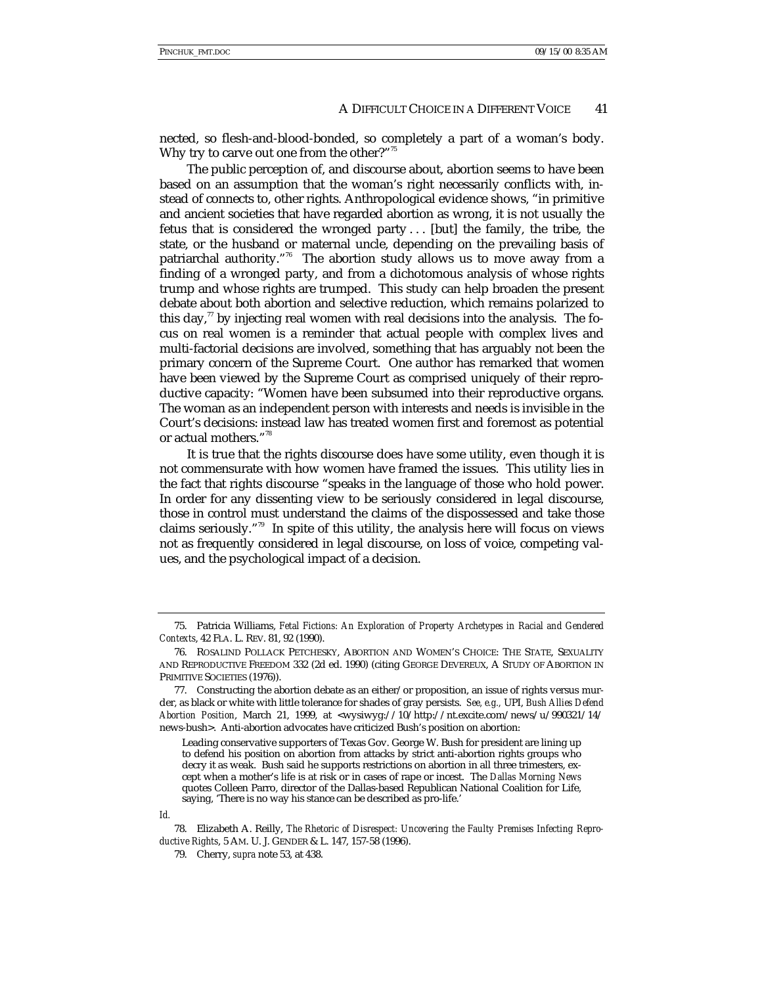nected, so flesh-and-blood-bonded, so completely a part of a woman's body. Why try to carve out one from the other?"<sup>3</sup>

The public perception of, and discourse about, abortion seems to have been based on an assumption that the woman's right necessarily conflicts with, instead of connects to, other rights. Anthropological evidence shows, "in primitive and ancient societies that have regarded abortion as wrong, it is not usually the fetus that is considered the wronged party . . . [but] the family, the tribe, the state, or the husband or maternal uncle, depending on the prevailing basis of patriarchal authority."<sup>76</sup> The abortion study allows us to move away from a finding of a wronged party, and from a dichotomous analysis of whose rights trump and whose rights are trumped. This study can help broaden the present debate about both abortion and selective reduction, which remains polarized to this day, $\frac{7}{7}$  by injecting real women with real decisions into the analysis. The focus on real women is a reminder that actual people with complex lives and multi-factorial decisions are involved, something that has arguably not been the primary concern of the Supreme Court. One author has remarked that women have been viewed by the Supreme Court as comprised uniquely of their reproductive capacity: "Women have been subsumed into their reproductive organs. The woman as an independent person with interests and needs is invisible in the Court's decisions: instead law has treated women first and foremost as potential or actual mothers." 78

It is true that the rights discourse does have some utility, even though it is not commensurate with how women have framed the issues. This utility lies in the fact that rights discourse "speaks in the language of those who hold power. In order for any dissenting view to be seriously considered in legal discourse, those in control must understand the claims of the dispossessed and take those claims seriously." 79 In spite of this utility, the analysis here will focus on views not as frequently considered in legal discourse, on loss of voice, competing values, and the psychological impact of a decision.

<sup>75.</sup> Patricia Williams, *Fetal Fictions: An Exploration of Property Archetypes in Racial and Gendered Contexts*, 42 FLA. L. REV. 81, 92 (1990).

<sup>76.</sup> ROSALIND POLLACK PETCHESKY, ABORTION AND WOMEN'S CHOICE: THE STATE, SEXUALITY AND REPRODUCTIVE FREEDOM 332 (2d ed. 1990) (citing GEORGE DEVEREUX, A STUDY OF ABORTION IN PRIMITIVE SOCIETIES (1976)).

<sup>77.</sup> Constructing the abortion debate as an either/or proposition, an issue of rights versus murder, as black or white with little tolerance for shades of gray persists. *See, e.g.,* UPI, *Bush Allies Defend Abortion Position*, March 21, 1999, at <wysiwyg://10/http://nt.excite.com/news/u/990321/14/ news-bush>. Anti-abortion advocates have criticized Bush's position on abortion:

Leading conservative supporters of Texas Gov. George W. Bush for president are lining up to defend his position on abortion from attacks by strict anti-abortion rights groups who decry it as weak. Bush said he supports restrictions on abortion in all three trimesters, except when a mother's life is at risk or in cases of rape or incest. The *Dallas Morning News* quotes Colleen Parro, director of the Dallas-based Republican National Coalition for Life, saying, 'There is no way his stance can be described as pro-life.'

*Id.*

<sup>78.</sup> Elizabeth A. Reilly, *The Rhetoric of Disrespect: Uncovering the Faulty Premises Infecting Reproductive Rights*, 5 AM. U. J. GENDER & L. 147, 157-58 (1996).

<sup>79.</sup> Cherry, *supra* note 53, at 438.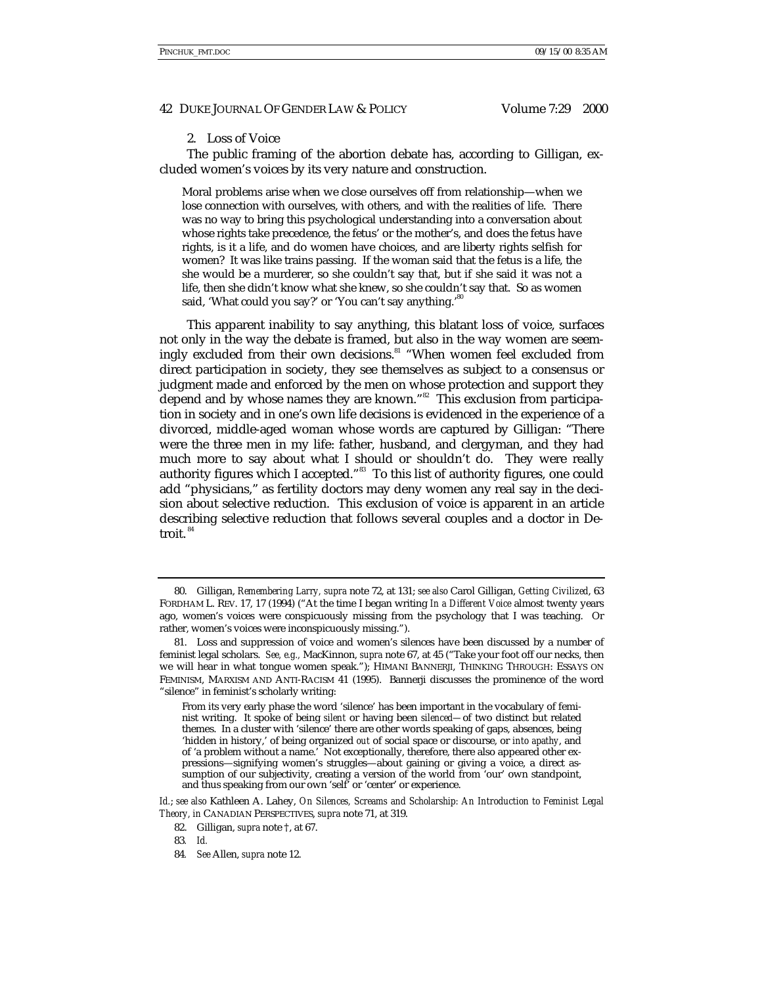## 2. Loss of Voice

The public framing of the abortion debate has, according to Gilligan, excluded women's voices by its very nature and construction.

Moral problems arise when we close ourselves off from relationship—when we lose connection with ourselves, with others, and with the realities of life. There was no way to bring this psychological understanding into a conversation about whose rights take precedence, the fetus' or the mother's, and does the fetus have rights, is it a life, and do women have choices, and are liberty rights selfish for women? It was like trains passing. If the woman said that the fetus is a life, the she would be a murderer, so she couldn't say that, but if she said it was not a life, then she didn't know what she knew, so she couldn't say that. So as women said, 'What could you say?' or 'You can't say anything.'<sup>80</sup>

This apparent inability to say anything, this blatant loss of voice, surfaces not only in the way the debate is framed, but also in the way women are seemingly excluded from their own decisions.<sup>81</sup> "When women feel excluded from direct participation in society, they see themselves as subject to a consensus or judgment made and enforced by the men on whose protection and support they depend and by whose names they are known."<sup>82</sup> This exclusion from participation in society and in one's own life decisions is evidenced in the experience of a divorced, middle-aged woman whose words are captured by Gilligan: "There were the three men in my life: father, husband, and clergyman, and they had much more to say about what I should or shouldn't do. They were really authority figures which I accepted." $^{ss}$  To this list of authority figures, one could add "physicians," as fertility doctors may deny women any real say in the decision about selective reduction. This exclusion of voice is apparent in an article describing selective reduction that follows several couples and a doctor in Detroit. $84$ 

<sup>80.</sup> Gilligan, *Remembering Larry, supra* note 72, at 131; *see also* Carol Gilligan, *Getting Civilized*, 63 FORDHAM L. REV. 17, 17 (1994) ("At the time I began writing *In a Different Voice* almost twenty years ago, women's voices were conspicuously missing from the psychology that I was teaching. Or rather, women's voices were inconspicuously missing.").

<sup>81.</sup> Loss and suppression of voice and women's silences have been discussed by a number of feminist legal scholars. *See, e.g.,* MacKinnon, *supra* note 67, at 45 ("Take your foot off our necks, then we will hear in what tongue women speak."); HIMANI BANNERJI, THINKING THROUGH: ESSAYS ON FEMINISM, MARXISM AND ANTI-RACISM 41 (1995). Bannerji discusses the prominence of the word "silence" in feminist's scholarly writing:

From its very early phase the word 'silence' has been important in the vocabulary of feminist writing. It spoke of being *silent* or having been *silenced—*of two distinct but related themes. In a cluster with 'silence' there are other words speaking of gaps, absences, being 'hidden in history,' of being organized *out* of social space or discourse, or *into apathy*, and of 'a problem without a name.' Not exceptionally, therefore, there also appeared other expressions—signifying women's struggles—about gaining or giving a voice, a direct assumption of our subjectivity, creating a version of the world from 'our' own standpoint, and thus speaking from our own 'self' or 'center' or experience.

*Id.*; *see also* Kathleen A. Lahey, *On Silences, Screams and Scholarship: An Introduction to Feminist Legal Theory, in* CANADIAN PERSPECTIVES, *supra* note 71, at 319.

<sup>82.</sup> Gilligan, *supra* note †, at 67.

<sup>83</sup>*. Id.*

<sup>84</sup>*. See* Allen, *supra* note 12.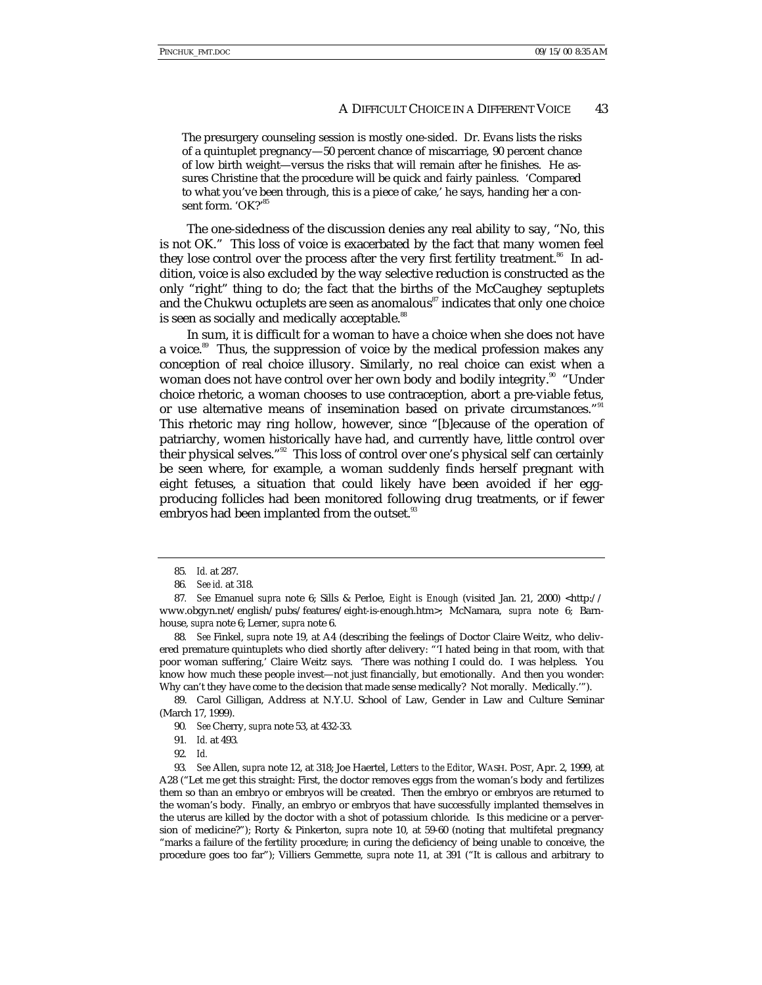The presurgery counseling session is mostly one-sided. Dr. Evans lists the risks of a quintuplet pregnancy—50 percent chance of miscarriage, 90 percent chance of low birth weight—versus the risks that will remain after he finishes. He assures Christine that the procedure will be quick and fairly painless. 'Compared to what you've been through, this is a piece of cake,' he says, handing her a consent form. 'OK?'<sup>85</sup>

The one-sidedness of the discussion denies any real ability to say, "No, this is not OK." This loss of voice is exacerbated by the fact that many women feel they lose control over the process after the very first fertility treatment.<sup>86</sup> In addition, voice is also excluded by the way selective reduction is constructed as the only "right" thing to do; the fact that the births of the McCaughey septuplets and the Chukwu octuplets are seen as anomalous<sup>87</sup> indicates that only one choice is seen as socially and medically acceptable.<sup>88</sup>

In sum, it is difficult for a woman to have a choice when she does not have a voice.<sup>89</sup> Thus, the suppression of voice by the medical profession makes any conception of real choice illusory. Similarly, no real choice can exist when a woman does not have control over her own body and bodily integrity.<sup>30</sup> "Under choice rhetoric, a woman chooses to use contraception, abort a pre-viable fetus, or use alternative means of insemination based on private circumstances."<sup>91</sup> This rhetoric may ring hollow, however, since "[b]ecause of the operation of patriarchy, women historically have had, and currently have, little control over their physical selves."<sup>92</sup> This loss of control over one's physical self can certainly be seen where, for example, a woman suddenly finds herself pregnant with eight fetuses, a situation that could likely have been avoided if her eggproducing follicles had been monitored following drug treatments, or if fewer embryos had been implanted from the outset.<sup>93</sup>

88*. See* Finkel, *supra* note 19, at A4 (describing the feelings of Doctor Claire Weitz, who delivered premature quintuplets who died shortly after delivery: "'I hated being in that room, with that poor woman suffering,' Claire Weitz says. 'There was nothing I could do. I was helpless. You know how much these people invest—not just financially, but emotionally. And then you wonder: Why can't they have come to the decision that made sense medically? Not morally. Medically.'").

89. Carol Gilligan, Address at N.Y.U. School of Law, Gender in Law and Culture Seminar (March 17, 1999).

93*. See* Allen, *supra* note 12, at 318; Joe Haertel, *Letters to the Editor*, WASH. POST, Apr. 2, 1999, at A28 ("Let me get this straight: First, the doctor removes eggs from the woman's body and fertilizes them so than an embryo or embryos will be created. Then the embryo or embryos are returned to the woman's body. Finally, an embryo or embryos that have successfully implanted themselves in the uterus are killed by the doctor with a shot of potassium chloride. Is this medicine or a perversion of medicine?"); Rorty & Pinkerton, *supra* note 10, at 59-60 (noting that multifetal pregnancy "marks a failure of the fertility procedure; in curing the deficiency of being unable to conceive, the procedure goes too far"); Villiers Gemmette, *supra* note 11, at 391 ("It is callous and arbitrary to

<sup>85</sup>*. Id.* at 287.

<sup>86</sup>*. See id.* at 318.

<sup>87</sup>*. See* Emanuel *supra* note 6; Sills & Perloe, *Eight is Enough* (visited Jan. 21, 2000) <http:// www.obgyn.net/english/pubs/features/eight-is-enough.htm>; McNamara, *supra* note 6; Barnhouse, *supra* note 6; Lerner, *supra* note 6.

<sup>90</sup>*. See* Cherry, *supra* note 53, at 432-33.

<sup>91</sup>*. Id.* at 493*.*

<sup>92</sup>*. Id.*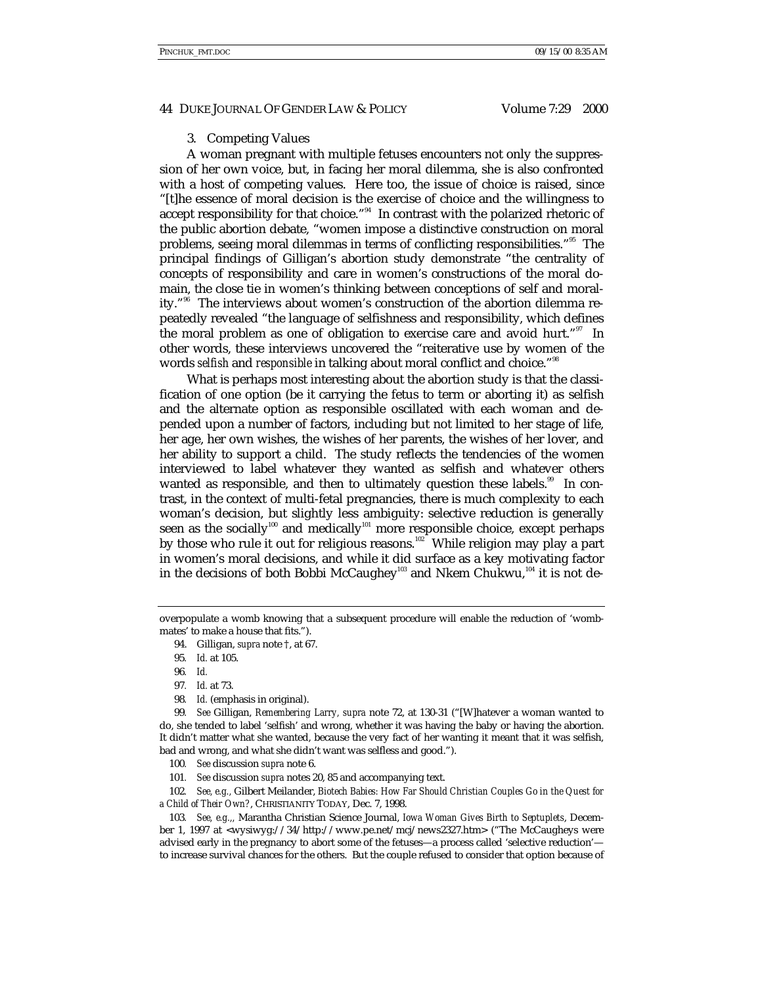# 3. Competing Values

A woman pregnant with multiple fetuses encounters not only the suppression of her own voice, but, in facing her moral dilemma, she is also confronted with a host of competing values. Here too, the issue of choice is raised, since "[t]he essence of moral decision is the exercise of choice and the willingness to accept responsibility for that choice."<sup>34</sup> In contrast with the polarized rhetoric of the public abortion debate, "women impose a distinctive construction on moral problems, seeing moral dilemmas in terms of conflicting responsibilities."<sup>95</sup> The principal findings of Gilligan's abortion study demonstrate "the centrality of concepts of responsibility and care in women's constructions of the moral domain, the close tie in women's thinking between conceptions of self and morality."96 The interviews about women's construction of the abortion dilemma repeatedly revealed "the language of selfishness and responsibility, which defines the moral problem as one of obligation to exercise care and avoid hurt."<sup>97</sup> In other words, these interviews uncovered the "reiterative use by women of the words *selfish* and *responsible* in talking about moral conflict and choice." 98

What is perhaps most interesting about the abortion study is that the classification of one option (be it carrying the fetus to term or aborting it) as selfish and the alternate option as responsible oscillated with each woman and depended upon a number of factors, including but not limited to her stage of life, her age, her own wishes, the wishes of her parents, the wishes of her lover, and her ability to support a child. The study reflects the tendencies of the women interviewed to label whatever they wanted as selfish and whatever others wanted as responsible, and then to ultimately question these labels.<sup>99</sup> In contrast, in the context of multi-fetal pregnancies, there is much complexity to each woman's decision, but slightly less ambiguity: selective reduction is generally seen as the socially<sup>100</sup> and medically<sup>101</sup> more responsible choice, except perhaps by those who rule it out for religious reasons.<sup>102</sup> While religion may play a part in women's moral decisions, and while it did surface as a key motivating factor in the decisions of both Bobbi McCaughey<sup>103</sup> and Nkem Chukwu,<sup>104</sup> it is not de-

- 97*. Id.* at 73.
- 98*. Id.* (emphasis in original).

99*. See* Gilligan, *Remembering Larry, supra* note 72, at 130-31 ("[W]hatever a woman wanted to do, she tended to label 'selfish' and wrong, whether it was having the baby or having the abortion. It didn't matter what she wanted, because the very fact of her wanting it meant that it was selfish, bad and wrong, and what she didn't want was selfless and good.").

- 100*. See* discussion *supra* note 6.
- 101*. See* discussion *supra* notes 20, 85 and accompanying text.

102*. See, e.g.,* Gilbert Meilander, *Biotech Babies: How Far Should Christian Couples Go in the Quest for a Child of Their Own?*, CHRISTIANITY TODAY, Dec. 7, 1998.

103*. See, e.g.,,* Marantha Christian Science Journal, *Iowa Woman Gives Birth to Septuplets*, December 1, 1997 at <wysiwyg://34/http://www.pe.net/mcj/news2327.htm> ("The McCaugheys were advised early in the pregnancy to abort some of the fetuses—a process called 'selective reduction' to increase survival chances for the others. But the couple refused to consider that option because of

overpopulate a womb knowing that a subsequent procedure will enable the reduction of 'wombmates' to make a house that fits.").

<sup>94.</sup> Gilligan, *supra* note †, at 67.

<sup>95</sup>*. Id.* at 105.

<sup>96</sup>*. Id.*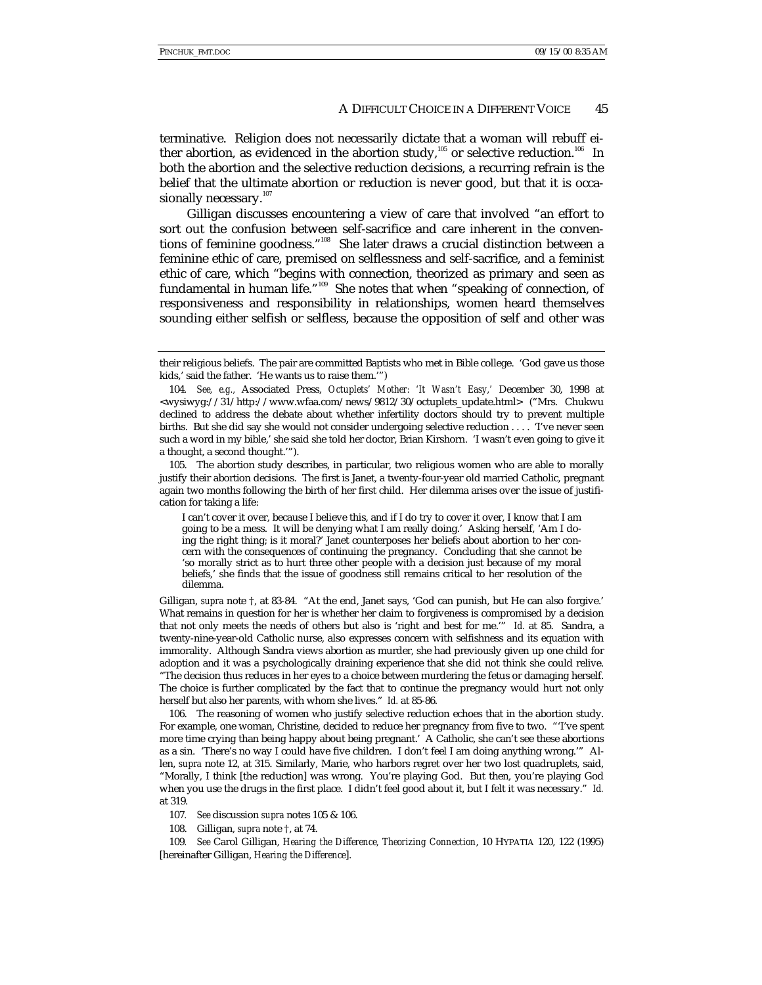terminative. Religion does not necessarily dictate that a woman will rebuff either abortion, as evidenced in the abortion study,<sup>105</sup> or selective reduction.<sup>106</sup> In both the abortion and the selective reduction decisions, a recurring refrain is the belief that the ultimate abortion or reduction is never good, but that it is occasionally necessary.<sup>107</sup>

Gilligan discusses encountering a view of care that involved "an effort to sort out the confusion between self-sacrifice and care inherent in the conventions of feminine goodness." 108 She later draws a crucial distinction between a feminine ethic of care, premised on selflessness and self-sacrifice, and a feminist ethic of care, which "begins with connection, theorized as primary and seen as fundamental in human life." 109 She notes that when "speaking of connection, of responsiveness and responsibility in relationships, women heard themselves sounding either selfish or selfless, because the opposition of self and other was

105. The abortion study describes, in particular, two religious women who are able to morally justify their abortion decisions. The first is Janet, a twenty-four-year old married Catholic, pregnant again two months following the birth of her first child. Her dilemma arises over the issue of justification for taking a life:

I can't cover it over, because I believe this, and if I do try to cover it over, I know that I am going to be a mess. It will be denying what I am really doing.' Asking herself, 'Am I doing the right thing; is it moral?' Janet counterposes her beliefs about abortion to her concern with the consequences of continuing the pregnancy. Concluding that she cannot be 'so morally strict as to hurt three other people with a decision just because of my moral beliefs,' she finds that the issue of goodness still remains critical to her resolution of the dilemma.

Gilligan, *supra* note †, at 83-84. "At the end, Janet says, 'God can punish, but He can also forgive.' What remains in question for her is whether her claim to forgiveness is compromised by a decision that not only meets the needs of others but also is 'right and best for me.'" *Id.* at 85. Sandra, a twenty-nine-year-old Catholic nurse, also expresses concern with selfishness and its equation with immorality. Although Sandra views abortion as murder, she had previously given up one child for adoption and it was a psychologically draining experience that she did not think she could relive. "The decision thus reduces in her eyes to a choice between murdering the fetus or damaging herself. The choice is further complicated by the fact that to continue the pregnancy would hurt not only herself but also her parents, with whom she lives." *Id.* at 85-86.

106. The reasoning of women who justify selective reduction echoes that in the abortion study. For example, one woman, Christine, decided to reduce her pregnancy from five to two. "'I've spent more time crying than being happy about being pregnant.' A Catholic, she can't see these abortions as a sin. 'There's no way I could have five children. I don't feel I am doing anything wrong.'" Allen, *supra* note 12, at 315. Similarly, Marie, who harbors regret over her two lost quadruplets, said, "Morally, I think [the reduction] was wrong. You're playing God. But then, you're playing God when you use the drugs in the first place. I didn't feel good about it, but I felt it was necessary." *Id.* at 319.

- 107*. See* discussion *supra* notes 105 & 106.
- 108. Gilligan, *supra* note †, at 74.

109*. See* Carol Gilligan, *Hearing the Difference, Theorizing Connection*, 10 HYPATIA 120, 122 (1995) [hereinafter Gilligan, *Hearing the Difference*].

their religious beliefs. The pair are committed Baptists who met in Bible college. 'God gave us those kids,' said the father. 'He wants us to raise them.'")

<sup>104</sup>*. See, e.g.,* Associated Press, *Octuplets' Mother: 'It Wasn't Easy,'* December 30, 1998 at <wysiwyg://31/http://www.wfaa.com/news/9812/30/octuplets\_update.html> ("Mrs. Chukwu declined to address the debate about whether infertility doctors should try to prevent multiple births. But she did say she would not consider undergoing selective reduction . . . . 'I've never seen such a word in my bible,' she said she told her doctor, Brian Kirshorn. 'I wasn't even going to give it a thought, a second thought.'").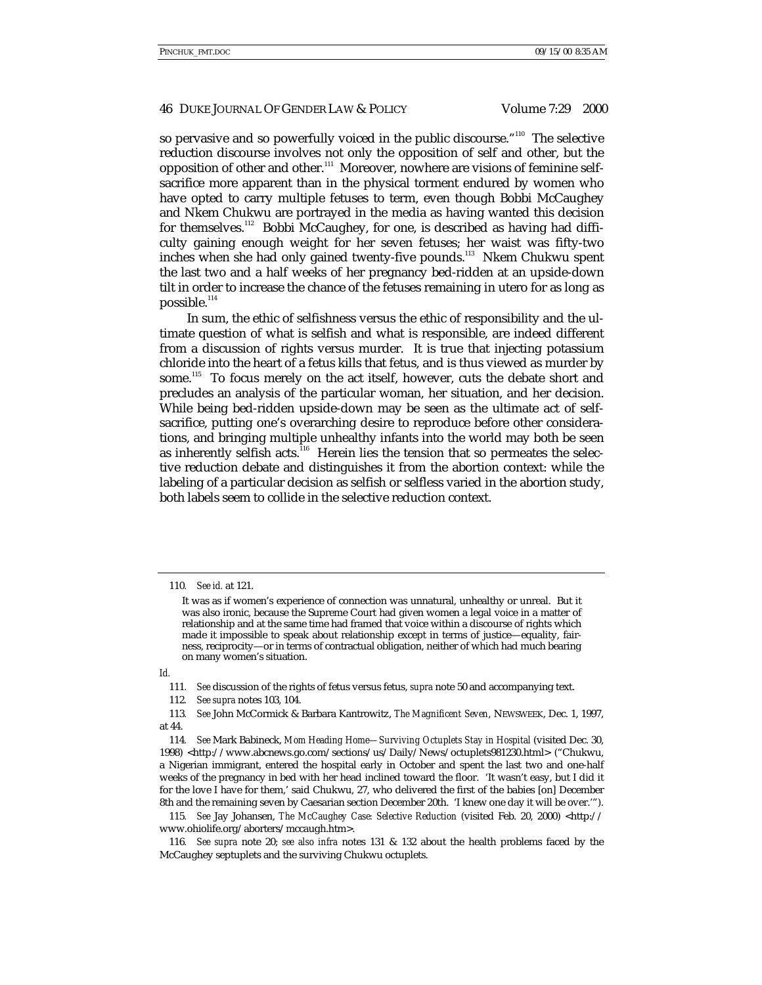so pervasive and so powerfully voiced in the public discourse." $^{\scriptscriptstyle\rm 110}$  The selective reduction discourse involves not only the opposition of self and other, but the opposition of other and other.<sup>111</sup> Moreover, nowhere are visions of feminine selfsacrifice more apparent than in the physical torment endured by women who have opted to carry multiple fetuses to term, even though Bobbi McCaughey and Nkem Chukwu are portrayed in the media as having wanted this decision for themselves.<sup>112</sup> Bobbi McCaughey, for one, is described as having had difficulty gaining enough weight for her seven fetuses; her waist was fifty-two inches when she had only gained twenty-five pounds.<sup>113</sup> Nkem Chukwu spent the last two and a half weeks of her pregnancy bed-ridden at an upside-down tilt in order to increase the chance of the fetuses remaining in utero for as long as possible.<sup>114</sup>

In sum, the ethic of selfishness versus the ethic of responsibility and the ultimate question of what is selfish and what is responsible, are indeed different from a discussion of rights versus murder. It is true that injecting potassium chloride into the heart of a fetus kills that fetus, and is thus viewed as murder by some.115 To focus merely on the act itself, however, cuts the debate short and precludes an analysis of the particular woman, her situation, and her decision. While being bed-ridden upside-down may be seen as the ultimate act of selfsacrifice, putting one's overarching desire to reproduce before other considerations, and bringing multiple unhealthy infants into the world may both be seen as inherently selfish acts.<sup>116</sup> Herein lies the tension that so permeates the selective reduction debate and distinguishes it from the abortion context: while the labeling of a particular decision as selfish or selfless varied in the abortion study, both labels seem to collide in the selective reduction context.

*Id.*

<sup>110</sup>*. See id.* at 121.

It was as if women's experience of connection was unnatural, unhealthy or unreal. But it was also ironic, because the Supreme Court had given women a legal voice in a matter of relationship and at the same time had framed that voice within a discourse of rights which made it impossible to speak about relationship except in terms of justice—equality, fairness, reciprocity—or in terms of contractual obligation, neither of which had much bearing on many women's situation.

<sup>111</sup>*. See* discussion of the rights of fetus versus fetus, *supra* note 50 and accompanying text.

<sup>112</sup>*. See supra* notes 103, 104.

<sup>113</sup>*. See* John McCormick & Barbara Kantrowitz, *The Magnificent Seven*, NEWSWEEK, Dec. 1, 1997, at 44.

<sup>114</sup>*. See* Mark Babineck, *Mom Heading Home—Surviving Octuplets Stay in Hospital* (visited Dec. 30, 1998) <http://www.abcnews.go.com/sections/us/Daily/News/octuplets981230.html> ("Chukwu, a Nigerian immigrant, entered the hospital early in October and spent the last two and one-half weeks of the pregnancy in bed with her head inclined toward the floor. 'It wasn't easy, but I did it for the love I have for them,' said Chukwu, 27, who delivered the first of the babies [on] December 8th and the remaining seven by Caesarian section December 20th. 'I knew one day it will be over.'").

<sup>115</sup>*. See* Jay Johansen, *The McCaughey Case: Selective Reduction* (visited Feb. 20, 2000) <http:// www.ohiolife.org/aborters/mccaugh.htm>.

<sup>116</sup>*. See supra* note 20; *see also infra* notes 131 & 132 about the health problems faced by the McCaughey septuplets and the surviving Chukwu octuplets.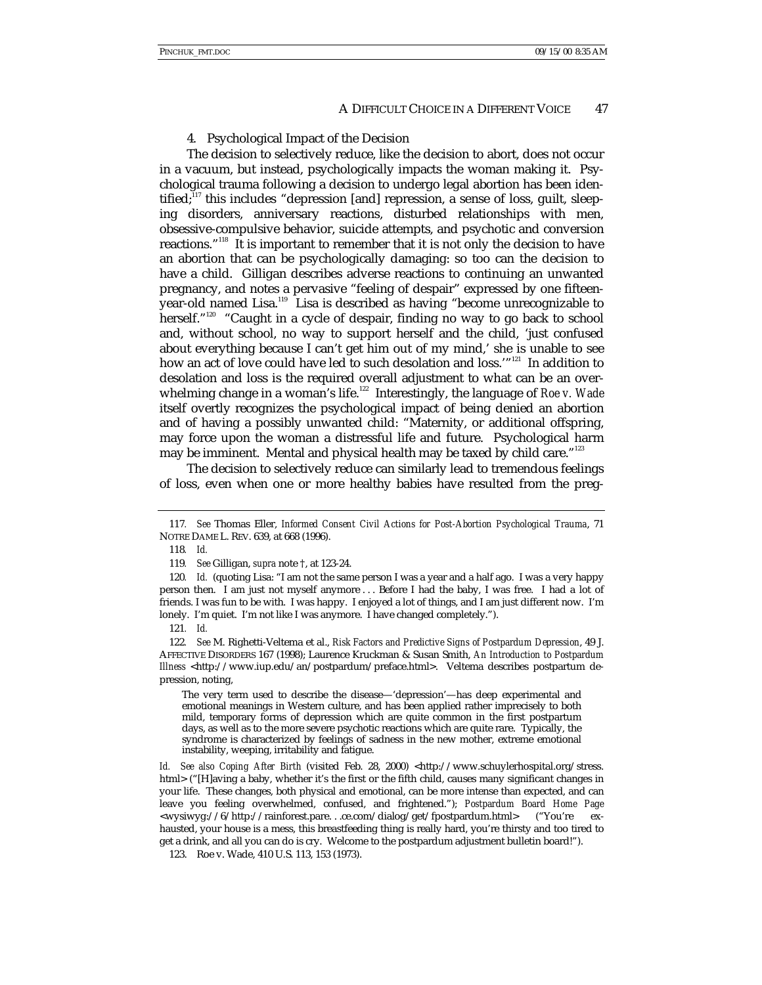#### 4. Psychological Impact of the Decision

The decision to selectively reduce, like the decision to abort, does not occur in a vacuum, but instead, psychologically impacts the woman making it. Psychological trauma following a decision to undergo legal abortion has been identified; $117$  this includes "depression [and] repression, a sense of loss, guilt, sleeping disorders, anniversary reactions, disturbed relationships with men, obsessive-compulsive behavior, suicide attempts, and psychotic and conversion reactions."<sup>118</sup> It is important to remember that it is not only the decision to have an abortion that can be psychologically damaging: so too can the decision to have a child. Gilligan describes adverse reactions to continuing an unwanted pregnancy, and notes a pervasive "feeling of despair" expressed by one fifteenyear-old named Lisa.119 Lisa is described as having "become unrecognizable to herself."<sup>120</sup> "Caught in a cycle of despair, finding no way to go back to school and, without school, no way to support herself and the child, 'just confused about everything because I can't get him out of my mind,' she is unable to see how an act of love could have led to such desolation and loss.'"<sup>121</sup> In addition to desolation and loss is the required overall adjustment to what can be an overwhelming change in a woman's life.<sup>122</sup> Interestingly, the language of *Roe v. Wade* itself overtly recognizes the psychological impact of being denied an abortion and of having a possibly unwanted child: "Maternity, or additional offspring, may force upon the woman a distressful life and future. Psychological harm may be imminent. Mental and physical health may be taxed by child care."<sup>123</sup>

The decision to selectively reduce can similarly lead to tremendous feelings of loss, even when one or more healthy babies have resulted from the preg-

The very term used to describe the disease—'depression'—has deep experimental and emotional meanings in Western culture, and has been applied rather imprecisely to both mild, temporary forms of depression which are quite common in the first postpartum days, as well as to the more severe psychotic reactions which are quite rare. Typically, the syndrome is characterized by feelings of sadness in the new mother, extreme emotional instability, weeping, irritability and fatigue.

*Id. See also Coping After Birth* (visited Feb. 28, 2000) <http://www.schuylerhospital.org/stress. html> ("[H]aving a baby, whether it's the first or the fifth child, causes many significant changes in your life. These changes, both physical and emotional, can be more intense than expected, and can leave you feeling overwhelmed, confused, and frightened."); *Postpardum Board Home Page* <wysiwyg://6/http://rainforest.pare. . .ce.com/dialog/get/fpostpardum.html> ("You're exhausted, your house is a mess, this breastfeeding thing is really hard, you're thirsty and too tired to get a drink, and all you can do is cry. Welcome to the postpardum adjustment bulletin board!").

123. Roe v. Wade, 410 U.S. 113, 153 (1973).

<sup>117</sup>*. See* Thomas Eller, *Informed Consent Civil Actions for Post-Abortion Psychological Trauma*, 71 NOTRE DAME L. REV. 639, at 668 (1996).

<sup>118</sup>*. Id.*

<sup>119</sup>*. See* Gilligan, *supra* note †, at 123-24.

<sup>120</sup>*. Id.* (quoting Lisa: "I am not the same person I was a year and a half ago. I was a very happy person then. I am just not myself anymore . . . Before I had the baby, I was free. I had a lot of friends. I was fun to be with. I was happy. I enjoyed a lot of things, and I am just different now. I'm lonely. I'm quiet. I'm not like I was anymore. I have changed completely.").

<sup>121</sup>*. Id.*

<sup>122</sup>*. See* M. Righetti-Veltema et al., *Risk Factors and Predictive Signs of Postpardum Depression*, 49 J. AFFECTIVE DISORDERS 167 (1998); Laurence Kruckman & Susan Smith, *An Introduction to Postpardum Illness* <http://www.iup.edu/an/postpardum/preface.html>. Veltema describes postpartum depression, noting,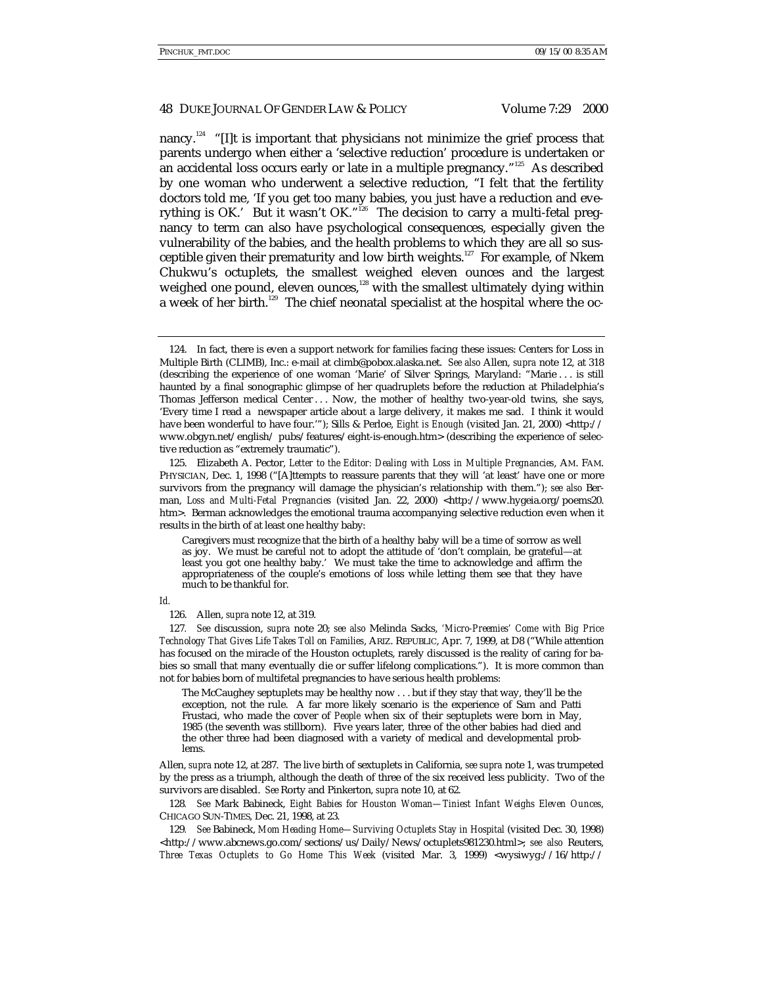#### 48 DUKE JOURNAL OF GENDER LAW & POLICY Volume 7:29 2000

nancy.<sup>124</sup> "[I]t is important that physicians not minimize the grief process that parents undergo when either a 'selective reduction' procedure is undertaken or an accidental loss occurs early or late in a multiple pregnancy."<sup>125</sup> As described by one woman who underwent a selective reduction, "I felt that the fertility doctors told me, 'If you get too many babies, you just have a reduction and everything is OK.' But it wasn't OK."<sup>126</sup> The decision to carry a multi-fetal pregnancy to term can also have psychological consequences, especially given the vulnerability of the babies, and the health problems to which they are all so susceptible given their prematurity and low birth weights.<sup>127</sup> For example, of Nkem Chukwu's octuplets, the smallest weighed eleven ounces and the largest weighed one pound, eleven ounces,<sup>128</sup> with the smallest ultimately dying within a week of her birth.<sup>129</sup> The chief neonatal specialist at the hospital where the oc-

125. Elizabeth A. Pector, *Letter to the Editor: Dealing with Loss in Multiple Pregnancies*, AM. FAM. PHYSICIAN, Dec. 1, 1998 ("[A]ttempts to reassure parents that they will 'at least' have one or more survivors from the pregnancy will damage the physician's relationship with them."); *see also* Berman, *Loss and Multi-Fetal Pregnancies* (visited Jan. 22, 2000) <http://www.hygeia.org/poems20. htm>. Berman acknowledges the emotional trauma accompanying selective reduction even when it results in the birth of at least one healthy baby:

#### *Id.*

The McCaughey septuplets may be healthy now . . . but if they stay that way, they'll be the exception, not the rule. A far more likely scenario is the experience of Sam and Patti Frustaci, who made the cover of *People* when six of their septuplets were born in May, 1985 (the seventh was stillborn). Five years later, three of the other babies had died and the other three had been diagnosed with a variety of medical and developmental problems.

Allen, *supra* note 12, at 287. The live birth of sextuplets in California, *see supra* note 1, was trumpeted by the press as a triumph, although the death of three of the six received less publicity. Two of the survivors are disabled. *See* Rorty and Pinkerton, *supra* note 10, at 62.

128*. See* Mark Babineck, *Eight Babies for Houston Woman—Tiniest Infant Weighs Eleven Ounces*, CHICAGO SUN-TIMES, Dec. 21, 1998, at 23.

129*. See* Babineck, *Mom Heading Home—Surviving Octuplets Stay in Hospital* (visited Dec. 30, 1998) <http://www.abcnews.go.com/sections/us/Daily/News/octuplets981230.html>; see also Reuters, *Three Texas Octuplets to Go Home This Week* (visited Mar. 3, 1999) <wysiwyg://16/http://

<sup>124.</sup> In fact, there is even a support network for families facing these issues: Centers for Loss in Multiple Birth (CLIMB), Inc.: e-mail at climb@pobox.alaska.net. *See also* Allen, *supra* note 12, at 318 (describing the experience of one woman 'Marie' of Silver Springs, Maryland: "Marie . . . is still haunted by a final sonographic glimpse of her quadruplets before the reduction at Philadelphia's Thomas Jefferson medical Center . . . Now, the mother of healthy two-year-old twins, she says, 'Every time I read a newspaper article about a large delivery, it makes me sad. I think it would have been wonderful to have four.'"); Sills & Perloe, *Eight is Enough* (visited Jan. 21, 2000) <http:// www.obgyn.net/english/ pubs/features/eight-is-enough.htm> (describing the experience of selective reduction as "extremely traumatic").

Caregivers must recognize that the birth of a healthy baby will be a time of sorrow as well as joy. We must be careful not to adopt the attitude of 'don't complain, be grateful—at least you got one healthy baby.' We must take the time to acknowledge and affirm the appropriateness of the couple's emotions of loss while letting them see that they have much to be thankful for.

<sup>126.</sup> Allen, *supra* note 12, at 319.

<sup>127</sup>*. See* discussion, *supra* note 20; *see also* Melinda Sacks, *'Micro-Preemies' Come with Big Price Technology That Gives Life Takes Toll on Families*, ARIZ. REPUBLIC, Apr. 7, 1999, at D8 ("While attention has focused on the miracle of the Houston octuplets, rarely discussed is the reality of caring for babies so small that many eventually die or suffer lifelong complications."). It is more common than not for babies born of multifetal pregnancies to have serious health problems: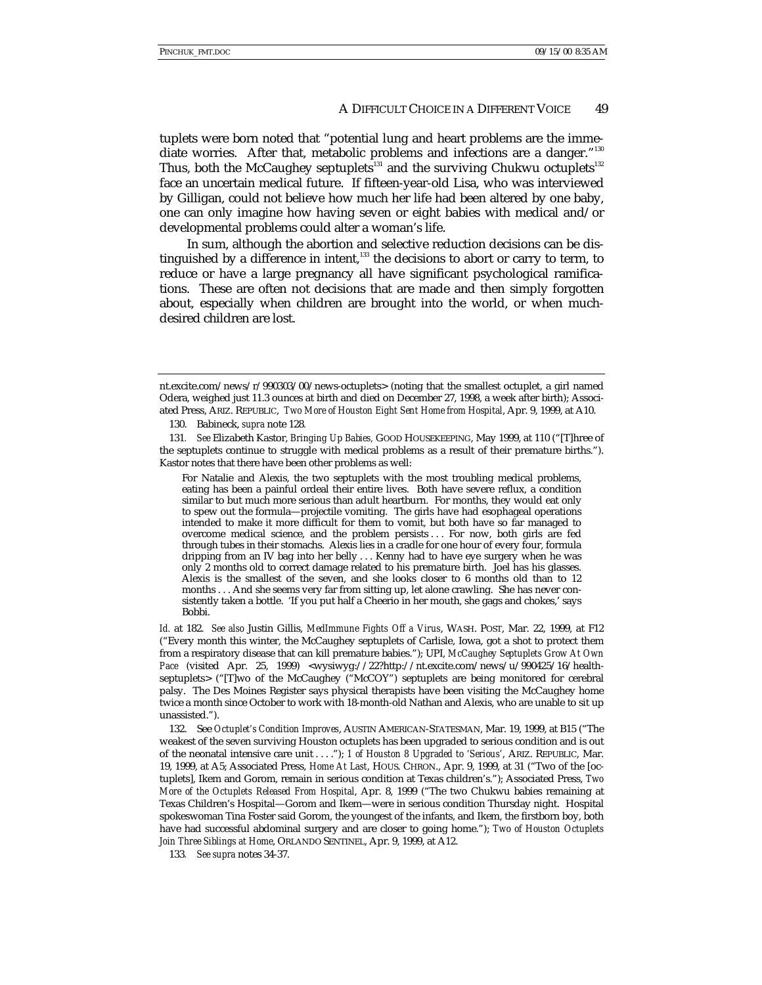tuplets were born noted that "potential lung and heart problems are the immediate worries. After that, metabolic problems and infections are a danger."<sup>130</sup> Thus, both the McCaughey septuplets<sup>131</sup> and the surviving Chukwu octuplets<sup>132</sup> face an uncertain medical future. If fifteen-year-old Lisa, who was interviewed by Gilligan, could not believe how much her life had been altered by one baby, one can only imagine how having seven or eight babies with medical and/or developmental problems could alter a woman's life.

In sum, although the abortion and selective reduction decisions can be distinguished by a difference in intent, $133$  the decisions to abort or carry to term, to reduce or have a large pregnancy all have significant psychological ramifications. These are often not decisions that are made and then simply forgotten about, especially when children are brought into the world, or when muchdesired children are lost.

130. Babineck, *supra* note 128*.*

131*. See* Elizabeth Kastor, *Bringing Up Babies,* GOOD HOUSEKEEPING, May 1999, at 110 ("[T]hree of the septuplets continue to struggle with medical problems as a result of their premature births."). Kastor notes that there have been other problems as well:

For Natalie and Alexis, the two septuplets with the most troubling medical problems, eating has been a painful ordeal their entire lives. Both have severe reflux, a condition similar to but much more serious than adult heartburn. For months, they would eat only to spew out the formula—projectile vomiting. The girls have had esophageal operations intended to make it more difficult for them to vomit, but both have so far managed to overcome medical science, and the problem persists . . . For now, both girls are fed through tubes in their stomachs. Alexis lies in a cradle for one hour of every four, formula dripping from an IV bag into her belly . . . Kenny had to have eye surgery when he was only 2 months old to correct damage related to his premature birth. Joel has his glasses. Alexis is the smallest of the seven, and she looks closer to 6 months old than to 12 months . . . And she seems very far from sitting up, let alone crawling. She has never consistently taken a bottle. 'If you put half a Cheerio in her mouth, she gags and chokes,' says Bobbi.

*Id.* at 182. *See also* Justin Gillis, *MedImmune Fights Off a Virus*, WASH. POST, Mar. 22, 1999, at F12 ("Every month this winter, the McCaughey septuplets of Carlisle, Iowa, got a shot to protect them from a respiratory disease that can kill premature babies."); UPI, *McCaughey Septuplets Grow At Own* Pace (visited Apr. 25, 1999) <wysiwyg://22?http://nt.excite.com/news/u/990425/16/healthseptuplets> ("[T]wo of the McCaughey ("McCOY") septuplets are being monitored for cerebral palsy. The Des Moines Register says physical therapists have been visiting the McCaughey home twice a month since October to work with 18-month-old Nathan and Alexis, who are unable to sit up unassisted.").

132. See *Octuplet's Condition Improves*, AUSTIN AMERICAN-STATESMAN, Mar. 19, 1999, at B15 ("The weakest of the seven surviving Houston octuplets has been upgraded to serious condition and is out of the neonatal intensive care unit . . . ."); *1 of Houston 8 Upgraded to 'Serious'*, ARIZ. REPUBLIC, Mar. 19, 1999, at A5; Associated Press, *Home At Last*, HOUS. CHRON., Apr. 9, 1999, at 31 ("Two of the [octuplets], Ikem and Gorom, remain in serious condition at Texas children's."); Associated Press, *Two More of the Octuplets Released From Hospital*, Apr. 8, 1999 ("The two Chukwu babies remaining at Texas Children's Hospital—Gorom and Ikem—were in serious condition Thursday night. Hospital spokeswoman Tina Foster said Gorom, the youngest of the infants, and Ikem, the firstborn boy, both have had successful abdominal surgery and are closer to going home."); *Two of Houston Octuplets Join Three Siblings at Home*, ORLANDO SENTINEL, Apr. 9, 1999, at A12.

133*. See supra* notes 34-37.

nt.excite.com/news/r/990303/00/news-octuplets> (noting that the smallest octuplet, a girl named Odera, weighed just 11.3 ounces at birth and died on December 27, 1998, a week after birth); Associated Press, ARIZ. REPUBLIC, *Two More of Houston Eight Sent Home from Hospital*, Apr. 9, 1999, at A10.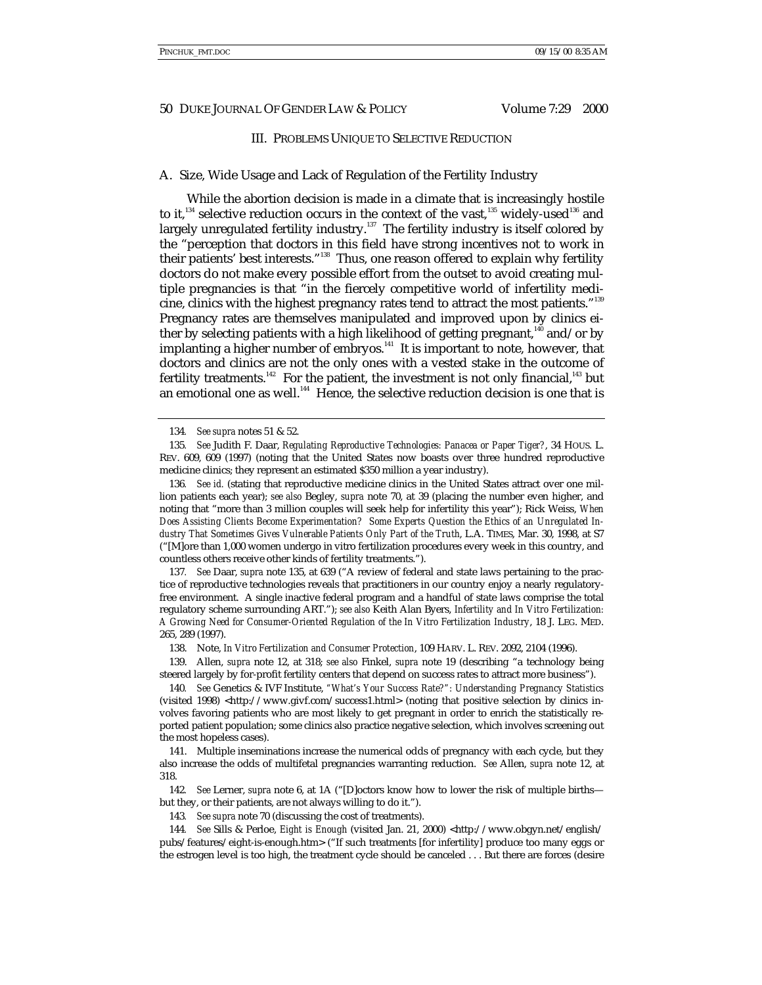#### III. PROBLEMS UNIQUE TO SELECTIVE REDUCTION

#### A. Size, Wide Usage and Lack of Regulation of the Fertility Industry

While the abortion decision is made in a climate that is increasingly hostile to it,<sup>134</sup> selective reduction occurs in the context of the vast,<sup>135</sup> widely-used<sup>136</sup> and largely unregulated fertility industry.<sup>137</sup> The fertility industry is itself colored by the "perception that doctors in this field have strong incentives not to work in their patients' best interests."<sup>138</sup> Thus, one reason offered to explain why fertility doctors do not make every possible effort from the outset to avoid creating multiple pregnancies is that "in the fiercely competitive world of infertility medicine, clinics with the highest pregnancy rates tend to attract the most patients." 139 Pregnancy rates are themselves manipulated and improved upon by clinics either by selecting patients with a high likelihood of getting pregnant,<sup>140</sup> and/or by implanting a higher number of embryos.<sup>141</sup> It is important to note, however, that doctors and clinics are not the only ones with a vested stake in the outcome of fertility treatments.<sup>142</sup> For the patient, the investment is not only financial,<sup>143</sup> but an emotional one as well.<sup>144</sup> Hence, the selective reduction decision is one that is

136*. See id.* (stating that reproductive medicine clinics in the United States attract over one million patients each year); *see also* Begley, *supra* note 70, at 39 (placing the number even higher, and noting that "more than 3 million couples will seek help for infertility this year"); Rick Weiss, *When Does Assisting Clients Become Experimentation? Some Experts Question the Ethics of an Unregulated Industry That Sometimes Gives Vulnerable Patients Only Part of the Truth*, L.A. TIMES, Mar. 30, 1998, at S7 ("[M]ore than 1,000 women undergo in vitro fertilization procedures every week in this country, and countless others receive other kinds of fertility treatments.").

137*. See* Daar, *supra* note 135, at 639 ("A review of federal and state laws pertaining to the practice of reproductive technologies reveals that practitioners in our country enjoy a nearly regulatoryfree environment. A single inactive federal program and a handful of state laws comprise the total regulatory scheme surrounding ART."); *see also* Keith Alan Byers, *Infertility and In Vitro Fertilization: A Growing Need for Consumer-Oriented Regulation of the In Vitro Fertilization Industry*, 18 J. LEG. MED. 265, 289 (1997).

138. Note, *In Vitro Fertilization and Consumer Protection*, 109 HARV. L. REV. 2092, 2104 (1996).

139. Allen, *supra* note 12, at 318; *see also* Finkel, *supra* note 19 (describing "a technology being steered largely by for-profit fertility centers that depend on success rates to attract more business").

140*. See* Genetics & IVF Institute, *"What's Your Success Rate?": Understanding Pregnancy Statistics* (visited 1998) <http://www.givf.com/success1.html> (noting that positive selection by clinics involves favoring patients who are most likely to get pregnant in order to enrich the statistically reported patient population; some clinics also practice negative selection, which involves screening out the most hopeless cases).

141. Multiple inseminations increase the numerical odds of pregnancy with each cycle, but they also increase the odds of multifetal pregnancies warranting reduction. *See* Allen, *supra* note 12, at 318.

142*. See* Lerner, *supra* note 6, at 1A ("[D]octors know how to lower the risk of multiple births but they, or their patients, are not always willing to do it.").

143*. See supra* note 70 (discussing the cost of treatments).

144*. See* Sills & Perloe, *Eight is Enough* (visited Jan. 21, 2000) <http://www.obgyn.net/english/ pubs/features/eight-is-enough.htm> ("If such treatments [for infertility] produce too many eggs or the estrogen level is too high, the treatment cycle should be canceled . . . But there are forces (desire

<sup>134</sup>*. See supra* notes 51 & 52.

<sup>135</sup>*. See* Judith F. Daar, *Regulating Reproductive Technologies: Panacea or Paper Tiger?*, 34 HOUS. L. REV. 609, 609 (1997) (noting that the United States now boasts over three hundred reproductive medicine clinics; they represent an estimated \$350 million a year industry).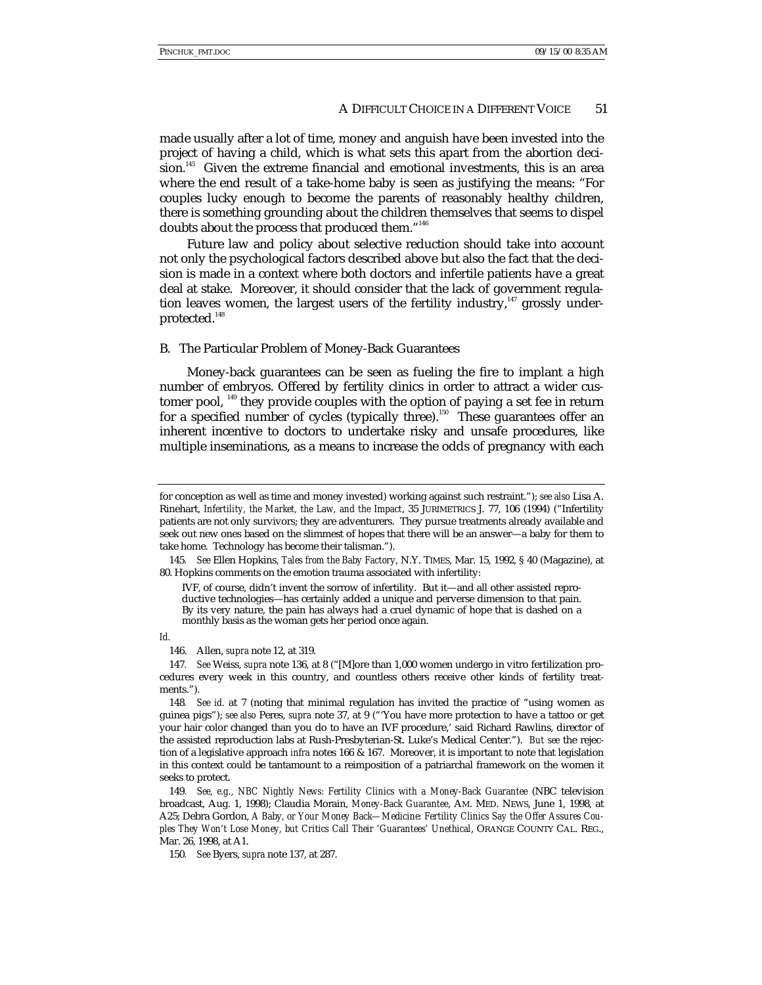made usually after a lot of time, money and anguish have been invested into the project of having a child, which is what sets this apart from the abortion decision.<sup>145</sup> Given the extreme financial and emotional investments, this is an area where the end result of a take-home baby is seen as justifying the means: "For couples lucky enough to become the parents of reasonably healthy children, there is something grounding about the children themselves that seems to dispel doubts about the process that produced them."<sup>146</sup>

Future law and policy about selective reduction should take into account not only the psychological factors described above but also the fact that the decision is made in a context where both doctors and infertile patients have a great deal at stake. Moreover, it should consider that the lack of government regulation leaves women, the largest users of the fertility industry, $147$  grossly underprotected.<sup>148</sup>

# B. The Particular Problem of Money-Back Guarantees

Money-back guarantees can be seen as fueling the fire to implant a high number of embryos. Offered by fertility clinics in order to attract a wider customer pool,  $^{149}$  they provide couples with the option of paying a set fee in return for a specified number of cycles (typically three).<sup>150</sup> These guarantees offer an inherent incentive to doctors to undertake risky and unsafe procedures, like multiple inseminations, as a means to increase the odds of pregnancy with each

*Id.*

for conception as well as time and money invested) working against such restraint."); *see also* Lisa A. Rinehart, *Infertility, the Market, the Law, and the Impact*, 35 JURIMETRICS J. 77, 106 (1994) ("Infertility patients are not only survivors; they are adventurers. They pursue treatments already available and seek out new ones based on the slimmest of hopes that there will be an answer—a baby for them to take home. Technology has become their talisman.").

<sup>145</sup>*. See* Ellen Hopkins, *Tales from the Baby Factory*, N.Y. TIMES, Mar. 15, 1992, § 40 (Magazine), at 80. Hopkins comments on the emotion trauma associated with infertility:

IVF, of course, didn't invent the sorrow of infertility. But it—and all other assisted reproductive technologies—has certainly added a unique and perverse dimension to that pain. By its very nature, the pain has always had a cruel dynamic of hope that is dashed on a monthly basis as the woman gets her period once again.

<sup>146.</sup> Allen, *supra* note 12, at 319.

<sup>147</sup>*. See* Weiss, *supra* note 136, at 8 ("[M]ore than 1,000 women undergo in vitro fertilization procedures every week in this country, and countless others receive other kinds of fertility treatments.").

<sup>148</sup>*. See id.* at 7 (noting that minimal regulation has invited the practice of "using women as guinea pigs"); *see also* Peres, *supra* note 37, at 9 ("'You have more protection to have a tattoo or get your hair color changed than you do to have an IVF procedure,' said Richard Rawlins, director of the assisted reproduction labs at Rush-Presbyterian-St. Luke's Medical Center."). *But see* the rejection of a legislative approach *infra* notes 166 & 167. Moreover, it is important to note that legislation in this context could be tantamount to a reimposition of a patriarchal framework on the women it seeks to protect.

<sup>149</sup>*. See, e.g., NBC Nightly News: Fertility Clinics with a Money-Back Guarantee* (NBC television broadcast, Aug. 1, 1998); Claudia Morain, *Money-Back Guarantee*, AM. MED. NEWS, June 1, 1998, at A25; Debra Gordon, *A Baby, or Your Money Back—Medicine: Fertility Clinics Say the Offer Assures Couples They Won't Lose Money, but Critics Call Their 'Guarantees' Unethical*, ORANGE COUNTY CAL. REG., Mar. 26, 1998, at A1.

<sup>150</sup>*. See* Byers, *supra* note 137, at 287.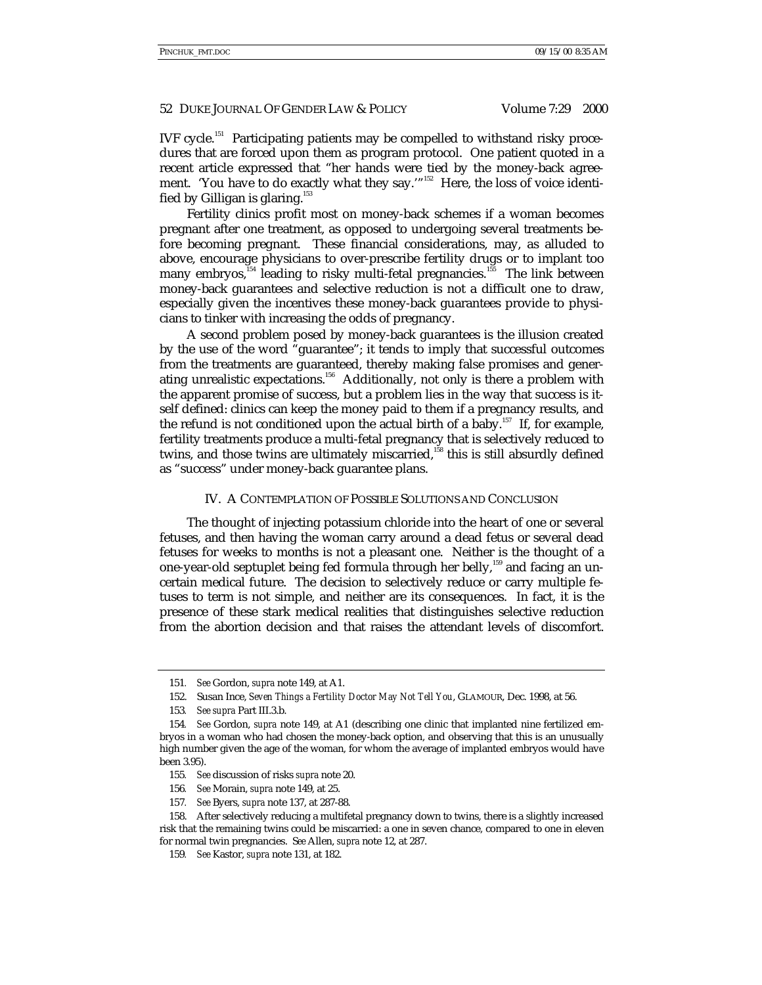IVF cycle.151 Participating patients may be compelled to withstand risky procedures that are forced upon them as program protocol. One patient quoted in a recent article expressed that "her hands were tied by the money-back agreement. 'You have to do exactly what they say.'"<sup>152</sup> Here, the loss of voice identified by Gilligan is glaring. $153$ 

Fertility clinics profit most on money-back schemes if a woman becomes pregnant after one treatment, as opposed to undergoing several treatments before becoming pregnant. These financial considerations, may, as alluded to above, encourage physicians to over-prescribe fertility drugs or to implant too many embryos,  $154$  leading to risky multi-fetal pregnancies.<sup>155</sup> The link between money-back guarantees and selective reduction is not a difficult one to draw, especially given the incentives these money-back guarantees provide to physicians to tinker with increasing the odds of pregnancy.

A second problem posed by money-back guarantees is the illusion created by the use of the word "guarantee"; it tends to imply that successful outcomes from the treatments are guaranteed, thereby making false promises and generating unrealistic expectations.156 Additionally, not only is there a problem with the apparent promise of success, but a problem lies in the way that success is itself defined: clinics can keep the money paid to them if a pregnancy results, and the refund is not conditioned upon the actual birth of a baby.<sup>157</sup> If, for example, fertility treatments produce a multi-fetal pregnancy that is selectively reduced to twins, and those twins are ultimately miscarried,<sup>158</sup> this is still absurdly defined as "success" under money-back guarantee plans.

# IV. A CONTEMPLATION OF POSSIBLE SOLUTIONS AND CONCLUSION

The thought of injecting potassium chloride into the heart of one or several fetuses, and then having the woman carry around a dead fetus or several dead fetuses for weeks to months is not a pleasant one. Neither is the thought of a one-year-old septuplet being fed formula through her belly,<sup>159</sup> and facing an uncertain medical future. The decision to selectively reduce or carry multiple fetuses to term is not simple, and neither are its consequences. In fact, it is the presence of these stark medical realities that distinguishes selective reduction from the abortion decision and that raises the attendant levels of discomfort.

- 155*. See* discussion of risks *supra* note 20.
- 156*. See* Morain, *supra* note 149, at 25.
- 157*. See* Byers, *supra* note 137, at 287-88.

<sup>151</sup>*. See* Gordon, *supra* note 149, at A1.

<sup>152.</sup> Susan Ince, *Seven Things a Fertility Doctor May Not Tell You*, GLAMOUR, Dec. 1998, at 56.

<sup>153</sup>*. See supra* Part III.3.b.

<sup>154</sup>*. See* Gordon, *supra* note 149, at A1 (describing one clinic that implanted nine fertilized embryos in a woman who had chosen the money-back option, and observing that this is an unusually high number given the age of the woman, for whom the average of implanted embryos would have been 3.95).

<sup>158.</sup> After selectively reducing a multifetal pregnancy down to twins, there is a slightly increased risk that the remaining twins could be miscarried: a one in seven chance, compared to one in eleven for normal twin pregnancies. S*ee* Allen, *supra* note 12, at 287.

<sup>159</sup>*. See* Kastor, *supra* note 131, at 182.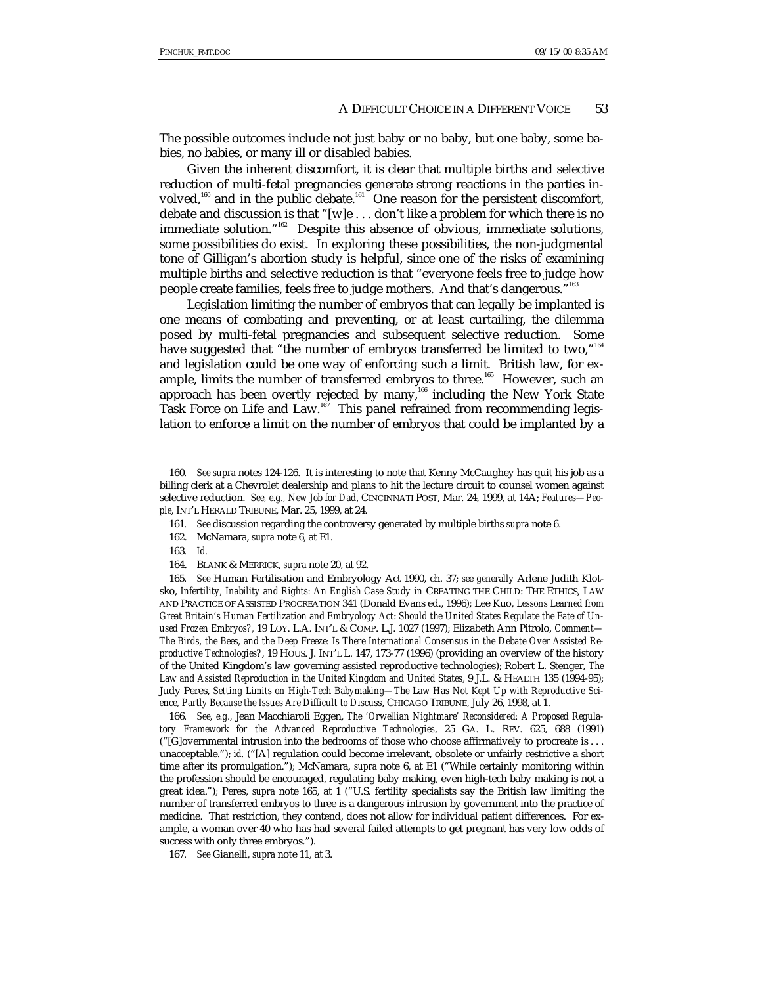The possible outcomes include not just baby or no baby, but one baby, some babies, no babies, or many ill or disabled babies.

Given the inherent discomfort, it is clear that multiple births and selective reduction of multi-fetal pregnancies generate strong reactions in the parties involved,<sup>160</sup> and in the public debate.<sup>161</sup> One reason for the persistent discomfort, debate and discussion is that "[w]e . . . don't like a problem for which there is no immediate solution." 162 Despite this absence of obvious, immediate solutions, some possibilities do exist. In exploring these possibilities, the non-judgmental tone of Gilligan's abortion study is helpful, since one of the risks of examining multiple births and selective reduction is that "everyone feels free to judge how people create families, feels free to judge mothers. And that's dangerous." 163

Legislation limiting the number of embryos that can legally be implanted is one means of combating and preventing, or at least curtailing, the dilemma posed by multi-fetal pregnancies and subsequent selective reduction. Some have suggested that "the number of embryos transferred be limited to two,"<sup>164</sup> and legislation could be one way of enforcing such a limit. British law, for example, limits the number of transferred embryos to three.<sup>165</sup> However, such an approach has been overtly rejected by many,<sup>166</sup> including the New York State Task Force on Life and Law.<sup>167</sup> This panel refrained from recommending legislation to enforce a limit on the number of embryos that could be implanted by a

163*. Id.*

165*. See* Human Fertilisation and Embryology Act 1990, ch. 37; *see generally* Arlene Judith Klotsko, *Infertility, Inability and Rights: An English Case Study in* CREATING THE CHILD: THE ETHICS, LAW AND PRACTICE OF ASSISTED PROCREATION 341 (Donald Evans ed., 1996); Lee Kuo, *Lessons Learned from Great Britain's Human Fertilization and Embryology Act*: *Should the United States Regulate the Fate of Unused Frozen Embryos?,* 19 LOY. L.A. INT'L & COMP. L.J. 1027 (1997); Elizabeth Ann Pitrolo, *Comment— The Birds, the Bees, and the Deep Freeze: Is There International Consensus in the Debate Over Assisted Reproductive Technologies?*, 19 HOUS. J. INT'L L. 147, 173-77 (1996) (providing an overview of the history of the United Kingdom's law governing assisted reproductive technologies); Robert L. Stenger, *The Law and Assisted Reproduction in the United Kingdom and United States*, 9 J.L. & HEALTH 135 (1994-95); Judy Peres, *Setting Limits on High-Tech Babymaking—The Law Has Not Kept Up with Reproductive Science, Partly Because the Issues Are Difficult to Discuss*, CHICAGO TRIBUNE, July 26, 1998, at 1.

166*. See, e.g.,* Jean Macchiaroli Eggen, *The 'Orwellian Nightmare' Reconsidered: A Proposed Regulatory Framework for the Advanced Reproductive Technologies*, 25 GA. L. REV. 625, 688 (1991) ("[G]overnmental intrusion into the bedrooms of those who choose affirmatively to procreate is . . . unacceptable."); *id.* ("[A] regulation could become irrelevant, obsolete or unfairly restrictive a short time after its promulgation."); McNamara, *supra* note 6, at E1 ("While certainly monitoring within the profession should be encouraged, regulating baby making, even high-tech baby making is not a great idea."); Peres, *supra* note 165, at 1 ("U.S. fertility specialists say the British law limiting the number of transferred embryos to three is a dangerous intrusion by government into the practice of medicine. That restriction, they contend, does not allow for individual patient differences. For example, a woman over 40 who has had several failed attempts to get pregnant has very low odds of success with only three embryos.").

167*. See* Gianelli, *supra* note 11, at 3.

<sup>160</sup>*. See supra* notes 124-126. It is interesting to note that Kenny McCaughey has quit his job as a billing clerk at a Chevrolet dealership and plans to hit the lecture circuit to counsel women against selective reduction. *See, e.g., New Job for Dad*, CINCINNATI POST, Mar. 24, 1999, at 14A; *Features—People*, INT'L HERALD TRIBUNE, Mar. 25, 1999, at 24.

<sup>161</sup>*. See* discussion regarding the controversy generated by multiple births *supra* note 6.

<sup>162.</sup> McNamara, *supra* note 6, at E1.

<sup>164.</sup> BLANK & MERRICK, *supra* note 20, at 92.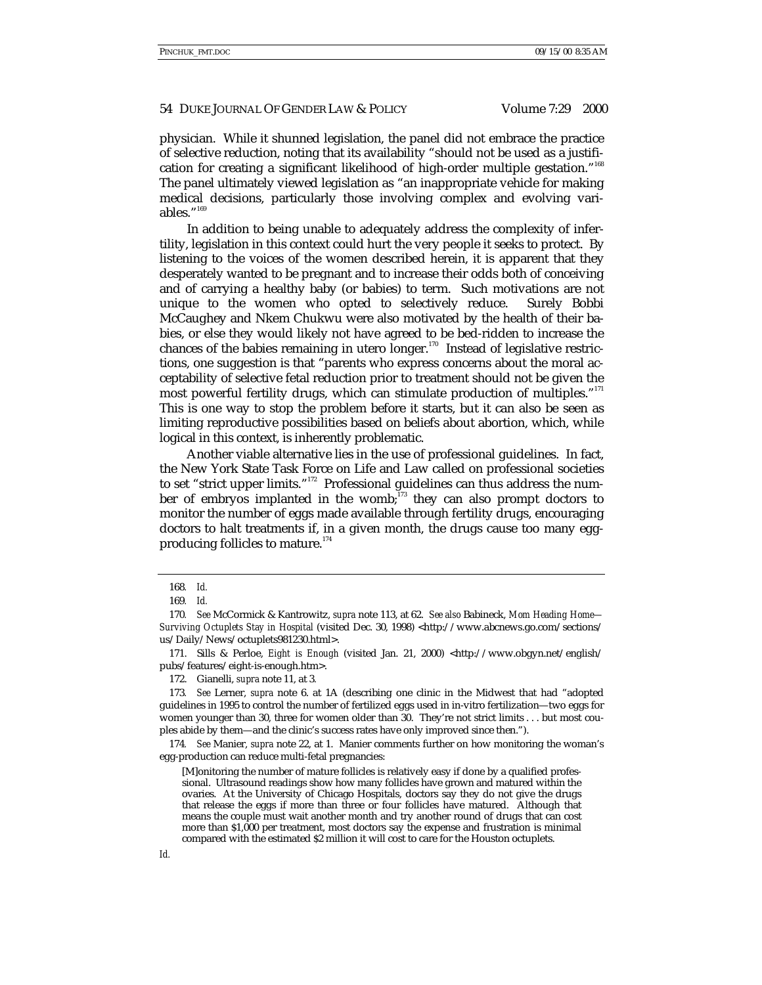physician. While it shunned legislation, the panel did not embrace the practice of selective reduction, noting that its availability "should not be used as a justification for creating a significant likelihood of high-order multiple gestation."<sup>168</sup> The panel ultimately viewed legislation as "an inappropriate vehicle for making medical decisions, particularly those involving complex and evolving variables." 169

In addition to being unable to adequately address the complexity of infertility, legislation in this context could hurt the very people it seeks to protect. By listening to the voices of the women described herein, it is apparent that they desperately wanted to be pregnant and to increase their odds both of conceiving and of carrying a healthy baby (or babies) to term. Such motivations are not unique to the women who opted to selectively reduce. Surely Bobbi McCaughey and Nkem Chukwu were also motivated by the health of their babies, or else they would likely not have agreed to be bed-ridden to increase the chances of the babies remaining in utero longer.<sup>170</sup> Instead of legislative restrictions, one suggestion is that "parents who express concerns about the moral acceptability of selective fetal reduction prior to treatment should not be given the most powerful fertility drugs, which can stimulate production of multiples." 171 This is one way to stop the problem before it starts, but it can also be seen as limiting reproductive possibilities based on beliefs about abortion, which, while logical in this context, is inherently problematic.

Another viable alternative lies in the use of professional guidelines. In fact, the New York State Task Force on Life and Law called on professional societies to set "strict upper limits."<sup>172</sup> Professional guidelines can thus address the number of embryos implanted in the womb; $^{173}$  they can also prompt doctors to monitor the number of eggs made available through fertility drugs, encouraging doctors to halt treatments if, in a given month, the drugs cause too many eggproducing follicles to mature.<sup>174</sup>

171. Sills & Perloe, *Eight is Enough* (visited Jan. 21, 2000) <http://www.obgyn.net/english/ pubs/features/eight-is-enough.htm>.

173*. See* Lerner, *supra* note 6. at 1A (describing one clinic in the Midwest that had "adopted guidelines in 1995 to control the number of fertilized eggs used in in-vitro fertilization—two eggs for women younger than 30, three for women older than 30. They're not strict limits . . . but most couples abide by them—and the clinic's success rates have only improved since then.").

174*. See* Manier, *supra* note 22, at 1. Manier comments further on how monitoring the woman's egg-production can reduce multi-fetal pregnancies:

[M]onitoring the number of mature follicles is relatively easy if done by a qualified professional. Ultrasound readings show how many follicles have grown and matured within the ovaries. At the University of Chicago Hospitals, doctors say they do not give the drugs that release the eggs if more than three or four follicles have matured. Although that means the couple must wait another month and try another round of drugs that can cost more than \$1,000 per treatment, most doctors say the expense and frustration is minimal compared with the estimated \$2 million it will cost to care for the Houston octuplets.

<sup>168</sup>*. Id.*

<sup>169</sup>*. Id.*

<sup>170</sup>*. See* McCormick & Kantrowitz, *supra* note 113, at 62. *See also* Babineck, *Mom Heading Home— Surviving Octuplets Stay in Hospital* (visited Dec. 30, 1998) <http://www.abcnews.go.com/sections/ us/Daily/News/octuplets981230.html>.

<sup>172.</sup> Gianelli, *supra* note 11, at 3*.*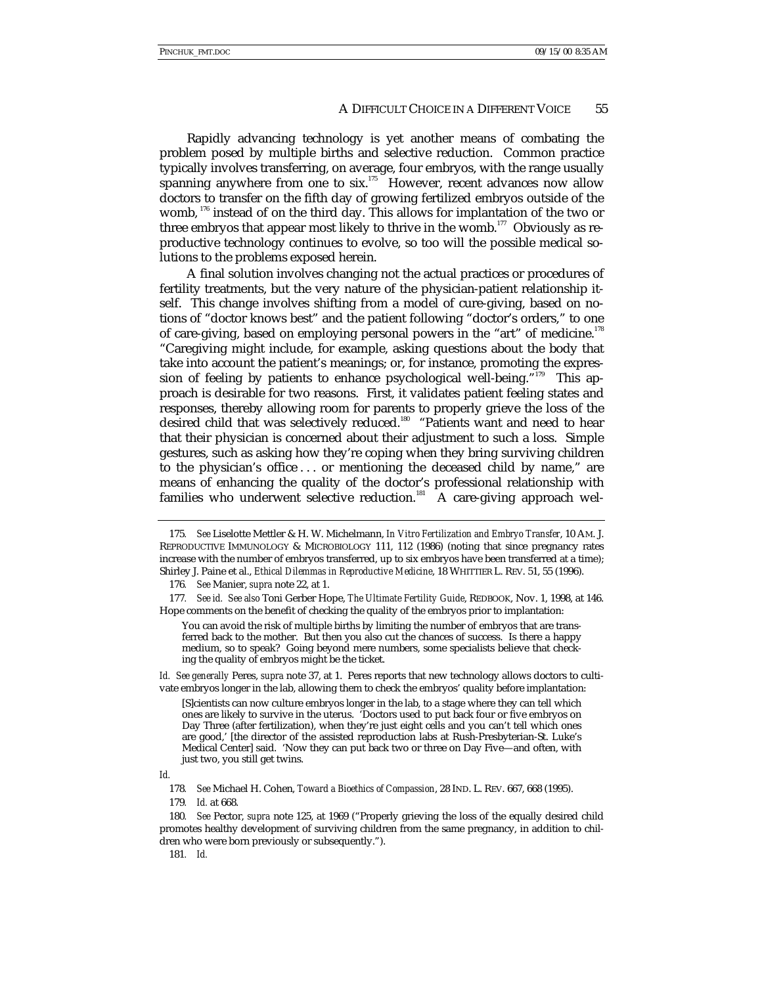Rapidly advancing technology is yet another means of combating the problem posed by multiple births and selective reduction. Common practice typically involves transferring, on average, four embryos, with the range usually spanning anywhere from one to six.<sup>175</sup> However, recent advances now allow doctors to transfer on the fifth day of growing fertilized embryos outside of the womb, <sup>176</sup> instead of on the third day. This allows for implantation of the two or three embryos that appear most likely to thrive in the womb.<sup>177</sup> Obviously as reproductive technology continues to evolve, so too will the possible medical solutions to the problems exposed herein.

A final solution involves changing not the actual practices or procedures of fertility treatments, but the very nature of the physician-patient relationship itself. This change involves shifting from a model of cure-giving, based on notions of "doctor knows best" and the patient following "doctor's orders," to one of care-giving, based on employing personal powers in the "art" of medicine.<sup>178</sup> "Caregiving might include, for example, asking questions about the body that take into account the patient's meanings; or, for instance, promoting the expression of feeling by patients to enhance psychological well-being."<sup>179</sup> This approach is desirable for two reasons. First, it validates patient feeling states and responses, thereby allowing room for parents to properly grieve the loss of the desired child that was selectively reduced.<sup>180</sup> "Patients want and need to hear that their physician is concerned about their adjustment to such a loss. Simple gestures, such as asking how they're coping when they bring surviving children to the physician's office . . . or mentioning the deceased child by name," are means of enhancing the quality of the doctor's professional relationship with families who underwent selective reduction.<sup>181</sup> A care-giving approach wel-

177*. See id. See also* Toni Gerber Hope, *The Ultimate Fertility Guide*, REDBOOK, Nov. 1, 1998, at 146. Hope comments on the benefit of checking the quality of the embryos prior to implantation:

You can avoid the risk of multiple births by limiting the number of embryos that are transferred back to the mother. But then you also cut the chances of success. Is there a happy medium, so to speak? Going beyond mere numbers, some specialists believe that checking the quality of embryos might be the ticket.

*Id. See generally* Peres, *supra* note 37, at 1. Peres reports that new technology allows doctors to cultivate embryos longer in the lab, allowing them to check the embryos' quality before implantation:

[S]cientists can now culture embryos longer in the lab, to a stage where they can tell which ones are likely to survive in the uterus. 'Doctors used to put back four or five embryos on Day Three (after fertilization), when they're just eight cells and you can't tell which ones are good,' [the director of the assisted reproduction labs at Rush-Presbyterian-St. Luke's Medical Center] said. 'Now they can put back two or three on Day Five—and often, with just two, you still get twins.

*Id.*

<sup>175</sup>*. See* Liselotte Mettler & H. W. Michelmann, *In Vitro Fertilization and Embryo Transfer*, 10 AM. J. REPRODUCTIVE IMMUNOLOGY & MICROBIOLOGY 111, 112 (1986) (noting that since pregnancy rates increase with the number of embryos transferred, up to six embryos have been transferred at a time); Shirley J. Paine et al., *Ethical Dilemmas in Reproductive Medicine*, 18 WHITTIER L. REV. 51, 55 (1996).

<sup>176</sup>*. See* Manier, *supra* note 22, at 1.

<sup>178</sup>*. See* Michael H. Cohen, *Toward a Bioethics of Compassion*, 28 IND. L. REV. 667, 668 (1995).

<sup>179</sup>*. Id.* at 668.

<sup>180</sup>*. See* Pector, *supra* note 125, at 1969 ("Properly grieving the loss of the equally desired child promotes healthy development of surviving children from the same pregnancy, in addition to children who were born previously or subsequently.").

<sup>181</sup>*. Id.*